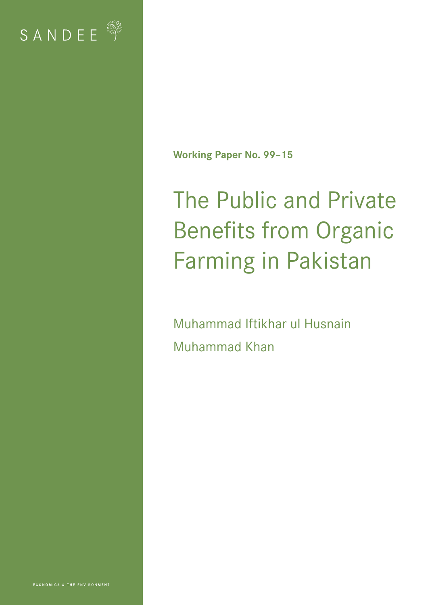

**Working Paper No. 99–15**

# The Public and Private Benefits from Organic Farming in Pakistan

Muhammad Iftikhar ul Husnain Muhammad Khan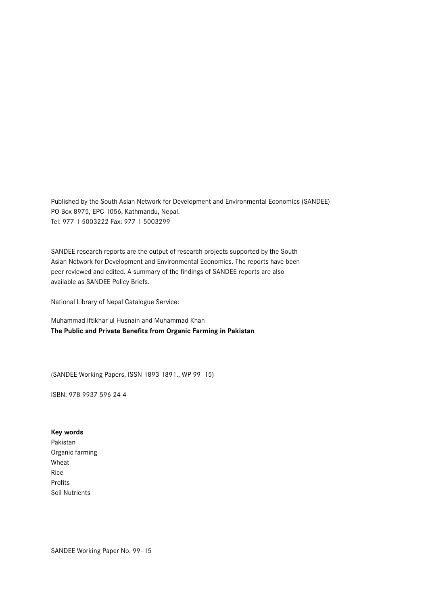Published by the South Asian Network for Development and Environmental Economics (SANDEE) PO Box 8975, EPC 1056, Kathmandu, Nepal. Tel: 977-1-5003222 Fax: 977-1-5003299

SANDEE research reports are the output of research projects supported by the South Asian Network for Development and Environmental Economics. The reports have been peer reviewed and edited. A summary of the findings of SANDEE reports are also available as SANDEE Policy Briefs.

National Library of Nepal Catalogue Service:

Muhammad Iftikhar ul Husnain and Muhammad Khan **The Public and Private Benefits from Organic Farming in Pakistan**

(SANDEE Working Papers, ISSN 1893-1891., WP 99–15)

ISBN: 978-9937-596-24-4

#### **Key words**

Pakistan Organic farming Wheat Rice Profits Soil Nutrients

SANDEE Working Paper No. 99–15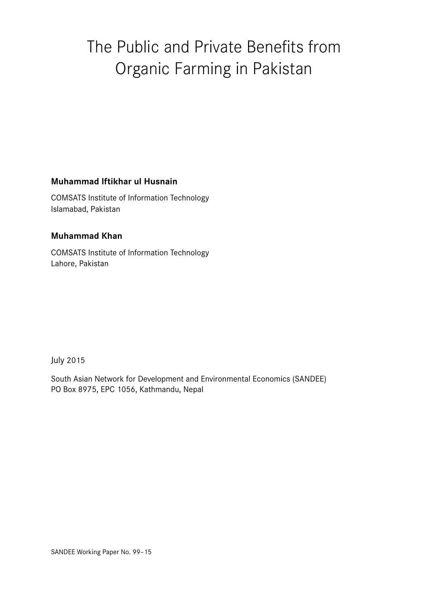## The Public and Private Benefits from Organic Farming in Pakistan

## **Muhammad Iftikhar ul Husnain**

COMSATS Institute of Information Technology Islamabad, Pakistan

## **Muhammad Khan**

COMSATS Institute of Information Technology Lahore, Pakistan

July 2015

South Asian Network for Development and Environmental Economics (SANDEE) PO Box 8975, EPC 1056, Kathmandu, Nepal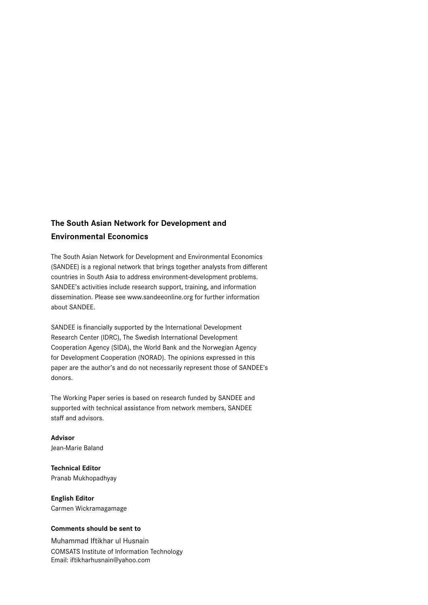## **The South Asian Network for Development and Environmental Economics**

The South Asian Network for Development and Environmental Economics (SANDEE) is a regional network that brings together analysts from different countries in South Asia to address environment-development problems. SANDEE's activities include research support, training, and information dissemination. Please see www.sandeeonline.org for further information about SANDEE.

SANDEE is financially supported by the International Development Research Center (IDRC), The Swedish International Development Cooperation Agency (SIDA), the World Bank and the Norwegian Agency for Development Cooperation (NORAD). The opinions expressed in this paper are the author's and do not necessarily represent those of SANDEE's donors.

The Working Paper series is based on research funded by SANDEE and supported with technical assistance from network members, SANDEE staff and advisors.

**Advisor** Jean-Marie Baland

**Technical Editor** Pranab Mukhopadhyay

**English Editor** Carmen Wickramagamage

#### **Comments should be sent to**

Muhammad Iftikhar ul Husnain COMSATS Institute of Information Technology Email: iftikharhusnain@yahoo.com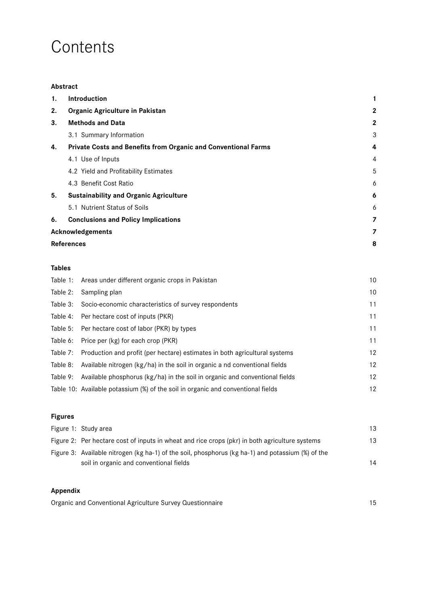## **Contents**

#### **Abstract**

| 1. | <b>Introduction</b>                                            | 1              |
|----|----------------------------------------------------------------|----------------|
| 2. | Organic Agriculture in Pakistan                                | $\mathbf{2}$   |
| 3. | <b>Methods and Data</b>                                        | $\mathbf{2}$   |
|    | 3.1 Summary Information                                        | 3              |
| 4. | Private Costs and Benefits from Organic and Conventional Farms | 4              |
|    | 4.1 Use of Inputs                                              | 4              |
|    | 4.2 Yield and Profitability Estimates                          | 5              |
|    | 4.3 Benefit Cost Ratio                                         | 6              |
| 5. | <b>Sustainability and Organic Agriculture</b>                  | 6              |
|    | 5.1 Nutrient Status of Soils                                   | 6              |
| 6. | <b>Conclusions and Policy Implications</b>                     | $\overline{z}$ |
|    | Acknowledgements                                               | 7              |
|    | <b>References</b>                                              | 8              |

#### **Tables**

|          | Table 1: Areas under different organic crops in Pakistan                         | 10 |
|----------|----------------------------------------------------------------------------------|----|
| Table 2: | Sampling plan                                                                    | 10 |
| Table 3: | Socio-economic characteristics of survey respondents                             | 11 |
| Table 4: | Per hectare cost of inputs (PKR)                                                 | 11 |
| Table 5: | Per hectare cost of labor (PKR) by types                                         | 11 |
| Table 6: | Price per (kg) for each crop (PKR)                                               | 11 |
| Table 7: | Production and profit (per hectare) estimates in both agricultural systems       | 12 |
| Table 8: | Available nitrogen (kg/ha) in the soil in organic a nd conventional fields       | 12 |
| Table 9: | Available phosphorus (kg/ha) in the soil in organic and conventional fields      | 12 |
|          | Table 10: Available potassium (%) of the soil in organic and conventional fields | 12 |

## **Figures** Figure 1: Study area 13 Figure 2: Per hectare cost of inputs in wheat and rice crops (pkr) in both agriculture systems 13 Figure 3: Available nitrogen (kg ha-1) of the soil, phosphorus (kg ha-1) and potassium (%) of the soil in organic and conventional fields 14

#### **Appendix**

Organic and Conventional Agriculture Survey Questionnaire 15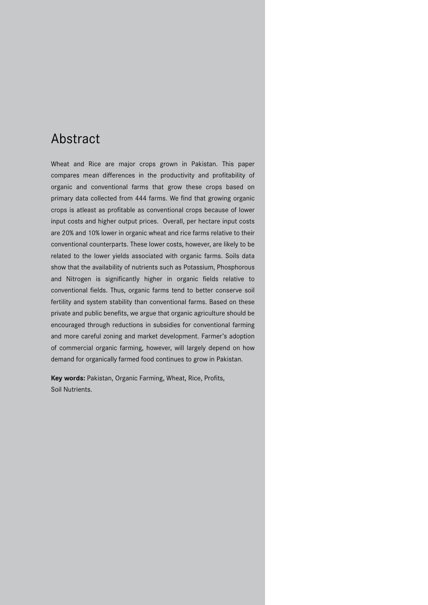## Abstract

Wheat and Rice are major crops grown in Pakistan. This paper compares mean differences in the productivity and profitability of organic and conventional farms that grow these crops based on primary data collected from 444 farms. We find that growing organic crops is atleast as profitable as conventional crops because of lower input costs and higher output prices. Overall, per hectare input costs are 20% and 10% lower in organic wheat and rice farms relative to their conventional counterparts. These lower costs, however, are likely to be related to the lower yields associated with organic farms. Soils data show that the availability of nutrients such as Potassium, Phosphorous and Nitrogen is significantly higher in organic fields relative to conventional fields. Thus, organic farms tend to better conserve soil fertility and system stability than conventional farms. Based on these private and public benefits, we argue that organic agriculture should be encouraged through reductions in subsidies for conventional farming and more careful zoning and market development. Farmer's adoption of commercial organic farming, however, will largely depend on how demand for organically farmed food continues to grow in Pakistan.

**Key words:** Pakistan, Organic Farming, Wheat, Rice, Profits, Soil Nutrients.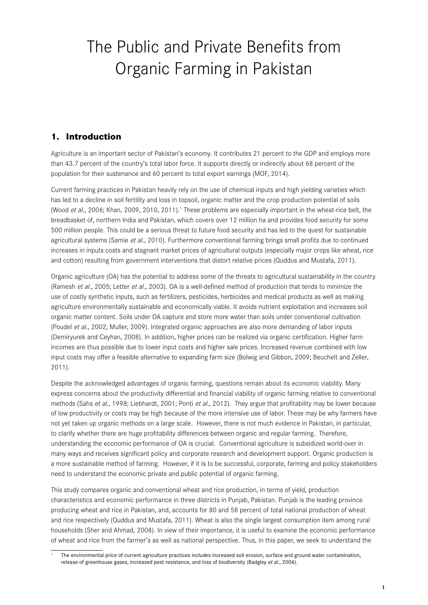## The Public and Private Benefits from Organic Farming in Pakistan

## **1. Introduction**

Agriculture is an important sector of Pakistan's economy. It contributes 21 percent to the GDP and employs more than 43.7 percent of the country's total labor force. It supports directly or indirectly about 68 percent of the population for their sustenance and 60 percent to total export earnings (MOF, 2014).

Current farming practices in Pakistan heavily rely on the use of chemical inputs and high yielding varieties which has led to a decline in soil fertility and loss in topsoil, organic matter and the crop production potential of soils (Wood et al., 2006; Khan, 2009, 2010, 2011).<sup>1</sup> These problems are especially important in the wheat-rice belt, the breadbasket of, northern India and Pakistan, which covers over 12 million ha and provides food security for some 500 million people. This could be a serious threat to future food security and has led to the quest for sustainable agricultural systems (Samie et al., 2010). Furthermore conventional farming brings small profits due to continued increases in inputs costs and stagnant market prices of agricultural outputs (especially major crops like wheat, rice and cotton) resulting from government interventions that distort relative prices (Quddus and Mustafa, 2011).

Organic agriculture (OA) has the potential to address some of the threats to agricultural sustainability in the country (Ramesh et al., 2005; Letter et al., 2003). OA is a well-defined method of production that tends to minimize the use of costly synthetic inputs, such as fertilizers, pesticides, herbicides and medical products as well as making agriculture environmentally sustainable and economically viable. It avoids nutrient exploitation and increases soil organic matter content. Soils under OA capture and store more water than soils under conventional cultivation (Poudel et al., 2002; Muller, 2009). Integrated organic approaches are also more demanding of labor inputs (Demiryurek and Ceyhan, 2008). In addition, higher prices can be realized via organic certification. Higher farm incomes are thus possible due to lower input costs and higher sale prices. Increased revenue combined with low input costs may offer a feasible alternative to expanding farm size (Bolwig and Gibbon, 2009; Beuchelt and Zeller, 2011).

Despite the acknowledged advantages of organic farming, questions remain about its economic viability. Many express concerns about the productivity differential and financial viability of organic farming relative to conventional methods (Sahs et al., 1998; Liebhardt, 2001; Ponti et al., 2012). They argue that profitability may be lower because of low productivity or costs may be high because of the more intensive use of labor. These may be why farmers have not yet taken up organic methods on a large scale. However, there is not much evidence in Pakistan, in particular, to clarify whether there are huge profitability differences between organic and regular farming. Therefore, understanding the economic performance of OA is crucial. Conventional agriculture is subsidized world-over in many ways and receives significant policy and corporate research and development support. Organic production is a more sustainable method of farming. However, if it is to be successful, corporate, farming and policy stakeholders need to understand the economic private and public potential of organic farming.

This study compares organic and conventional wheat and rice production, in terms of yield, production characteristics and economic performance in three districts in Punjab, Pakistan. Punjab is the leading province producing wheat and rice in Pakistan, and, accounts for 80 and 58 percent of total national production of wheat and rice respectively (Quddus and Mustafa, 2011). Wheat is also the single largest consumption item among rural households (Sher and Ahmad, 2008). In view of their importance, it is useful to examine the economic performance of wheat and rice from the farmer's as well as national perspective. Thus, in this paper, we seek to understand the

The environmental price of current agriculture practices includes increased soil erosion, surface and ground water contamination, release of greenhouse gases, increased pest resistance, and loss of biodiversity (Badgley et al., 2006).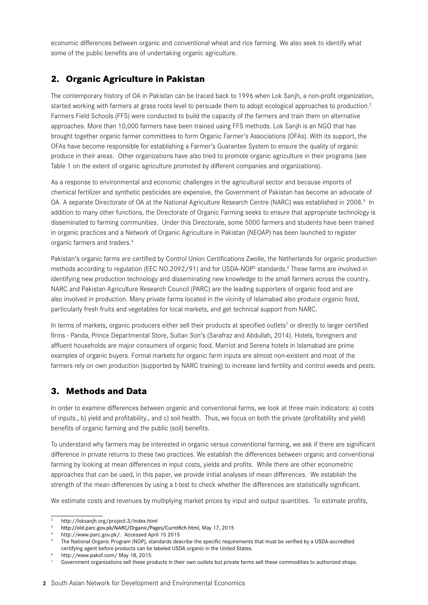economic differences between organic and conventional wheat and rice farming. We also seek to identify what some of the public benefits are of undertaking organic agriculture.

## **2. Organic Agriculture in Pakistan**

The contemporary history of OA in Pakistan can be traced back to 1996 when Lok Sanjh, a non-profit organization, started working with farmers at grass roots level to persuade them to adopt ecological approaches to production.<sup>2</sup> Farmers Field Schools (FFS) were conducted to build the capacity of the farmers and train them on alternative approaches. More than 10,000 farmers have been trained using FFS methods. Lok Sanjh is an NGO that has brought together organic farmer committees to form Organic Farmer's Associations (OFAs). With its support, the OFAs have become responsible for establishing a Farmer's Guarantee System to ensure the quality of organic produce in their areas. Other organizations have also tried to promote organic agriculture in their programs (see Table 1 on the extent of organic agriculture promoted by different companies and organizations).

As a response to environmental and economic challenges in the agricultural sector and because imports of chemical fertilizer and synthetic pesticides are expensive, the Government of Pakistan has become an advocate of OA. A separate Directorate of OA at the National Agriculture Research Centre (NARC) was established in 2008.<sup>3</sup> In addition to many other functions, the Directorate of Organic Farming seeks to ensure that appropriate technology is disseminated to farming communities. Under this Directorate, some 5000 farmers and students have been trained in organic practices and a Network of Organic Agriculture in Pakistan (NEOAP) has been launched to register organic farmers and traders.4

Pakistan's organic farms are certified by Control Union Certifications Zwolle, the Netherlands for organic production methods according to regulation (EEC NO.2092/91) and for USDA-NOP<sup>5</sup> standards.<sup>6</sup> These farms are involved in identifying new production technology and disseminating new knowledge to the small farmers across the country. NARC and Pakistan Agriculture Research Council (PARC) are the leading supporters of organic food and are also involved in production. Many private farms located in the vicinity of Islamabad also produce organic food, particularly fresh fruits and vegetables for local markets, and get technical support from NARC.

In terms of markets, organic producers either sell their products at specified outlets<sup>7</sup> or directly to larger certified firms - Panda, Prince Departmental Store, Sultan Son's (Sarafraz and Abdullah, 2014). Hotels, foreigners and affluent households are major consumers of organic food. Marriot and Serena hotels in Islamabad are prime examples of organic buyers. Formal markets for organic farm inputs are almost non-existent and most of the farmers rely on own production (supported by NARC training) to increase land fertility and control weeds and pests.

## **3. Methods and Data**

In order to examine differences between organic and conventional farms, we look at three main indicators: a) costs of inputs., b) yield and profitability., and c) soil health. Thus, we focus on both the private (profitability and yield) benefits of organic farming and the public (soil) benefits.

To understand why farmers may be interested in organic versus conventional farming, we ask if there are significant difference in private returns to these two practices. We establish the differences between organic and conventional farming by looking at mean differences in input costs, yields and profits. While there are other econometric approaches that can be used, in this paper, we provide initial analyses of mean differences. We establish the strength of the mean differences by using a t-test to check whether the differences are statistically significant.

We estimate costs and revenues by multiplying market prices by input and output quantities. To estimate profits,

<sup>2</sup> http://loksanjh.org/project-3/index.html

<sup>3</sup> http://old.parc.gov.pk/NARC/Organic/Pages/CurntRch.html, May 17, 2015

<sup>4</sup> http://www.parc.gov.pk/. Accessed April 15 2015

<sup>5</sup> The National Organic Program (NOP), standards describe the specific requirements that must be verified by a USDA-accredited certifying agent before products can be labeled USDA organic in the United States.

http://www.pakof.com/ May 18, 2015.

Government organizations sell these products in their own outlets but private farms sell these commodities to authorized shops.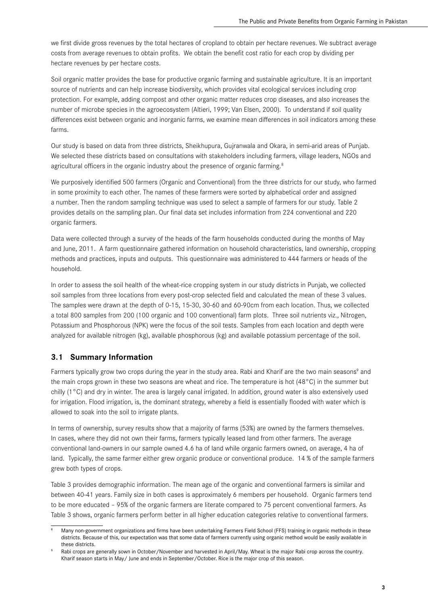we first divide gross revenues by the total hectares of cropland to obtain per hectare revenues. We subtract average costs from average revenues to obtain profits. We obtain the benefit cost ratio for each crop by dividing per hectare revenues by per hectare costs.

Soil organic matter provides the base for productive organic farming and sustainable agriculture. It is an important source of nutrients and can help increase biodiversity, which provides vital ecological services including crop protection. For example, adding compost and other organic matter reduces crop diseases, and also increases the number of microbe species in the agroecosystem (Altieri, 1999; Van Elsen, 2000). To understand if soil quality differences exist between organic and inorganic farms, we examine mean differences in soil indicators among these farms.

Our study is based on data from three districts, Sheikhupura, Gujranwala and Okara, in semi-arid areas of Punjab. We selected these districts based on consultations with stakeholders including farmers, village leaders, NGOs and agricultural officers in the organic industry about the presence of organic farming.<sup>8</sup>

We purposively identified 500 farmers (Organic and Conventional) from the three districts for our study, who farmed in some proximity to each other. The names of these farmers were sorted by alphabetical order and assigned a number. Then the random sampling technique was used to select a sample of farmers for our study. Table 2 provides details on the sampling plan. Our final data set includes information from 224 conventional and 220 organic farmers.

Data were collected through a survey of the heads of the farm households conducted during the months of May and June, 2011. A farm questionnaire gathered information on household characteristics, land ownership, cropping methods and practices, inputs and outputs. This questionnaire was administered to 444 farmers or heads of the household.

In order to assess the soil health of the wheat-rice cropping system in our study districts in Punjab, we collected soil samples from three locations from every post-crop selected field and calculated the mean of these 3 values. The samples were drawn at the depth of 0-15, 15-30, 30-60 and 60-90cm from each location. Thus, we collected a total 800 samples from 200 (100 organic and 100 conventional) farm plots. Three soil nutrients viz., Nitrogen, Potassium and Phosphorous (NPK) were the focus of the soil tests. Samples from each location and depth were analyzed for available nitrogen (kg), available phosphorous (kg) and available potassium percentage of the soil.

#### **3.1 Summary Information**

Farmers typically grow two crops during the year in the study area. Rabi and Kharif are the two main seasons<sup>9</sup> and the main crops grown in these two seasons are wheat and rice. The temperature is hot (48°C) in the summer but chilly (1°C) and dry in winter. The area is largely canal irrigated. In addition, ground water is also extensively used for irrigation. Flood irrigation, is, the dominant strategy, whereby a field is essentially flooded with water which is allowed to soak into the soil to irrigate plants.

In terms of ownership, survey results show that a majority of farms (53%) are owned by the farmers themselves. In cases, where they did not own their farms, farmers typically leased land from other farmers. The average conventional land-owners in our sample owned 4.6 ha of land while organic farmers owned, on average, 4 ha of land. Typically, the same farmer either grew organic produce or conventional produce. 14 % of the sample farmers grew both types of crops.

Table 3 provides demographic information. The mean age of the organic and conventional farmers is similar and between 40-41 years. Family size in both cases is approximately 6 members per household. Organic farmers tend to be more educated – 95% of the organic farmers are literate compared to 75 percent conventional farmers. As Table 3 shows, organic farmers perform better in all higher education categories relative to conventional farmers.

Many non-government organizations and firms have been undertaking Farmers Field School (FFS) training in organic methods in these districts. Because of this, our expectation was that some data of farmers currently using organic method would be easily available in these districts.

Rabi crops are generally sown in October/November and harvested in April/May. Wheat is the major Rabi crop across the country. Kharif season starts in May/ June and ends in September/October. Rice is the major crop of this season.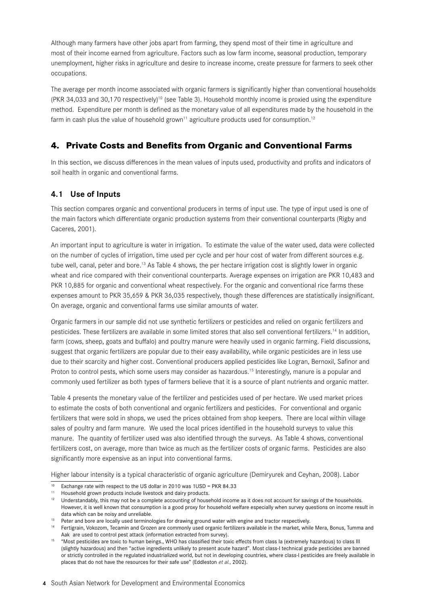Although many farmers have other jobs apart from farming, they spend most of their time in agriculture and most of their income earned from agriculture. Factors such as low farm income, seasonal production, temporary unemployment, higher risks in agriculture and desire to increase income, create pressure for farmers to seek other occupations.

The average per month income associated with organic farmers is significantly higher than conventional households  $(PKR 34.033$  and 30.170 respectively<sup>10</sup> (see Table 3). Household monthly income is proxied using the expenditure method. Expenditure per month is defined as the monetary value of all expenditures made by the household in the farm in cash plus the value of household grown<sup>11</sup> agriculture products used for consumption.<sup>12</sup>

## **4. Private Costs and Benefits from Organic and Conventional Farms**

In this section, we discuss differences in the mean values of inputs used, productivity and profits and indicators of soil health in organic and conventional farms.

## **4.1 Use of Inputs**

This section compares organic and conventional producers in terms of input use. The type of input used is one of the main factors which differentiate organic production systems from their conventional counterparts (Rigby and Caceres, 2001).

An important input to agriculture is water in irrigation. To estimate the value of the water used, data were collected on the number of cycles of irrigation, time used per cycle and per hour cost of water from different sources e.g. tube well, canal, peter and bore.<sup>13</sup> As Table 4 shows, the per hectare irrigation cost is slightly lower in organic wheat and rice compared with their conventional counterparts. Average expenses on irrigation are PKR 10,483 and PKR 10,885 for organic and conventional wheat respectively. For the organic and conventional rice farms these expenses amount to PKR 35,659 & PKR 36,035 respectively, though these differences are statistically insignificant. On average, organic and conventional farms use similar amounts of water.

Organic farmers in our sample did not use synthetic fertilizers or pesticides and relied on organic fertilizers and pesticides. These fertilizers are available in some limited stores that also sell conventional fertilizers.<sup>14</sup> In addition, farm (cows, sheep, goats and buffalo) and poultry manure were heavily used in organic farming. Field discussions, suggest that organic fertilizers are popular due to their easy availability, while organic pesticides are in less use due to their scarcity and higher cost. Conventional producers applied pesticides like Logran, Bernoxil, Safinor and Proton to control pests, which some users may consider as hazardous.<sup>15</sup> Interestingly, manure is a popular and commonly used fertilizer as both types of farmers believe that it is a source of plant nutrients and organic matter.

Table 4 presents the monetary value of the fertilizer and pesticides used of per hectare. We used market prices to estimate the costs of both conventional and organic fertilizers and pesticides. For conventional and organic fertilizers that were sold in shops, we used the prices obtained from shop keepers. There are local within village sales of poultry and farm manure. We used the local prices identified in the household surveys to value this manure. The quantity of fertilizer used was also identified through the surveys. As Table 4 shows, conventional fertilizers cost, on average, more than twice as much as the fertilizer costs of organic farms. Pesticides are also significantly more expensive as an input into conventional farms.

Higher labour intensity is a typical characteristic of organic agriculture (Demiryurek and Ceyhan, 2008). Labor

<sup>10</sup> Exchange rate with respect to the US dollar in 2010 was 1USD = PKR 84.33

<sup>&</sup>lt;sup>11</sup> Household grown products include livestock and dairy products.<br><sup>12</sup> Hoterstandably, this may not be a complete accounting of house

Understandably, this may not be a complete accounting of household income as it does not account for savings of the households. However, it is well known that consumption is a good proxy for household welfare especially when survey questions on income result in

data which can be noisy and unreliable.<br><sup>13</sup> Peter and bore are locally used terminologies for drawing ground water with engine and tractor respectively.<br><sup>14</sup> Fertigrain, Vokozom, Tecamin and Grozen are commonly used orga Aak are used to control pest attack (information extracted from survey).

<sup>15</sup> "Most pesticides are toxic to human beings., WHO has classified their toxic effects from class Ia (extremely hazardous) to class III (slightly hazardous) and then "active ingredients unlikely to present acute hazard". Most class-I technical grade pesticides are banned or strictly controlled in the regulated industrialized world, but not in developing countries, where class-I pesticides are freely available in places that do not have the resources for their safe use" (Eddleston et al., 2002).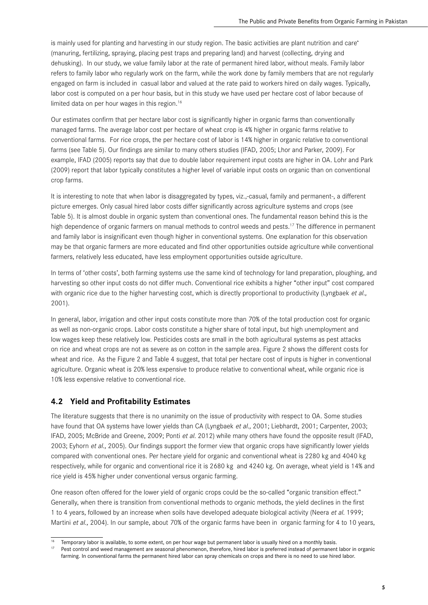is mainly used for planting and harvesting in our study region. The basic activities are plant nutrition and care<sup>2</sup> (manuring, fertilizing, spraying, placing pest traps and preparing land) and harvest (collecting, drying and dehusking). In our study, we value family labor at the rate of permanent hired labor, without meals. Family labor refers to family labor who regularly work on the farm, while the work done by family members that are not regularly engaged on farm is included in casual labor and valued at the rate paid to workers hired on daily wages. Typically, labor cost is computed on a per hour basis, but in this study we have used per hectare cost of labor because of limited data on per hour wages in this region.<sup>16</sup>

Our estimates confirm that per hectare labor cost is significantly higher in organic farms than conventionally managed farms. The average labor cost per hectare of wheat crop is 4% higher in organic farms relative to conventional farms. For rice crops, the per hectare cost of labor is 14% higher in organic relative to conventional farms (see Table 5). Our findings are similar to many others studies (IFAD, 2005; Lhor and Parker, 2009). For example, IFAD (2005) reports say that due to double labor requirement input costs are higher in OA. Lohr and Park (2009) report that labor typically constitutes a higher level of variable input costs on organic than on conventional crop farms.

It is interesting to note that when labor is disaggregated by types, viz.,-casual, family and permanent-, a different picture emerges. Only casual hired labor costs differ significantly across agriculture systems and crops (see Table 5). It is almost double in organic system than conventional ones. The fundamental reason behind this is the high dependence of organic farmers on manual methods to control weeds and pests.<sup>17</sup> The difference in permanent and family labor is insignificant even though higher in conventional systems. One explanation for this observation may be that organic farmers are more educated and find other opportunities outside agriculture while conventional farmers, relatively less educated, have less employment opportunities outside agriculture.

In terms of 'other costs', both farming systems use the same kind of technology for land preparation, ploughing, and harvesting so other input costs do not differ much. Conventional rice exhibits a higher "other input" cost compared with organic rice due to the higher harvesting cost, which is directly proportional to productivity (Lyngbaek et al., 2001).

In general, labor, irrigation and other input costs constitute more than 70% of the total production cost for organic as well as non-organic crops. Labor costs constitute a higher share of total input, but high unemployment and low wages keep these relatively low. Pesticides costs are small in the both agricultural systems as pest attacks on rice and wheat crops are not as severe as on cotton in the sample area. Figure 2 shows the different costs for wheat and rice. As the Figure 2 and Table 4 suggest, that total per hectare cost of inputs is higher in conventional agriculture. Organic wheat is 20% less expensive to produce relative to conventional wheat, while organic rice is 10% less expensive relative to conventional rice.

## **4.2 Yield and Profitability Estimates**

The literature suggests that there is no unanimity on the issue of productivity with respect to OA. Some studies have found that OA systems have lower yields than CA (Lyngbaek et al., 2001; Liebhardt, 2001; Carpenter, 2003; IFAD, 2005; McBride and Greene, 2009; Ponti et al. 2012) while many others have found the opposite result (IFAD, 2003; Eyhorn et al., 2005). Our findings support the former view that organic crops have significantly lower yields compared with conventional ones. Per hectare yield for organic and conventional wheat is 2280 kg and 4040 kg respectively, while for organic and conventional rice it is 2680 kg and 4240 kg. On average, wheat yield is 14% and rice yield is 45% higher under conventional versus organic farming.

One reason often offered for the lower yield of organic crops could be the so-called "organic transition effect." Generally, when there is transition from conventional methods to organic methods, the yield declines in the first 1 to 4 years, followed by an increase when soils have developed adequate biological activity (Neera et al. 1999; Martini et al., 2004). In our sample, about 70% of the organic farms have been in organic farming for 4 to 10 years,

<sup>&</sup>lt;sup>16</sup> Temporary labor is available, to some extent, on per hour wage but permanent labor is usually hired on a monthly basis.

Pest control and weed management are seasonal phenomenon, therefore, hired labor is preferred instead of permanent labor in organic farming. In conventional farms the permanent hired labor can spray chemicals on crops and there is no need to use hired labor.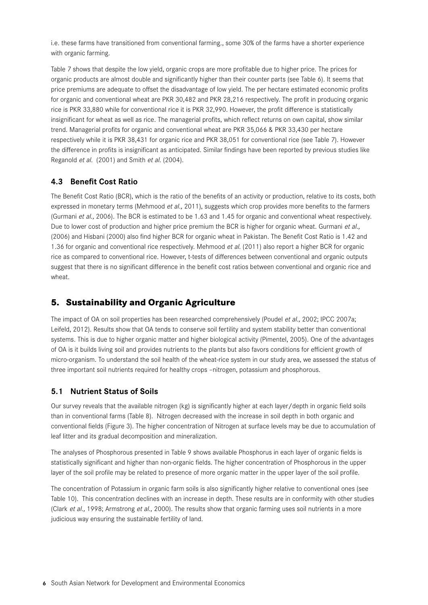i.e. these farms have transitioned from conventional farming., some 30% of the farms have a shorter experience with organic farming.

Table 7 shows that despite the low yield, organic crops are more profitable due to higher price. The prices for organic products are almost double and significantly higher than their counter parts (see Table 6). It seems that price premiums are adequate to offset the disadvantage of low yield. The per hectare estimated economic profits for organic and conventional wheat are PKR 30,482 and PKR 28,216 respectively. The profit in producing organic rice is PKR 33,880 while for conventional rice it is PKR 32,990. However, the profit difference is statistically insignificant for wheat as well as rice. The managerial profits, which reflect returns on own capital, show similar trend. Managerial profits for organic and conventional wheat are PKR 35,066 & PKR 33,430 per hectare respectively while it is PKR 38,431 for organic rice and PKR 38,051 for conventional rice (see Table 7). However the difference in profits is insignificant as anticipated. Similar findings have been reported by previous studies like Reganold et al. (2001) and Smith et al. (2004).

## **4.3 Benefit Cost Ratio**

The Benefit Cost Ratio (BCR), which is the ratio of the benefits of an activity or production, relative to its costs, both expressed in monetary terms (Mehmood et al., 2011), suggests which crop provides more benefits to the farmers (Gurmani et al., 2006). The BCR is estimated to be 1.63 and 1.45 for organic and conventional wheat respectively. Due to lower cost of production and higher price premium the BCR is higher for organic wheat. Gurmani et al., (2006) and Hisbani (2000) also find higher BCR for organic wheat in Pakistan. The Benefit Cost Ratio is 1.42 and 1.36 for organic and conventional rice respectively. Mehmood et al. (2011) also report a higher BCR for organic rice as compared to conventional rice. However, t-tests of differences between conventional and organic outputs suggest that there is no significant difference in the benefit cost ratios between conventional and organic rice and wheat.

## **5. Sustainability and Organic Agriculture**

The impact of OA on soil properties has been researched comprehensively (Poudel et al., 2002; IPCC 2007a; Leifeld, 2012). Results show that OA tends to conserve soil fertility and system stability better than conventional systems. This is due to higher organic matter and higher biological activity (Pimentel, 2005). One of the advantages of OA is it builds living soil and provides nutrients to the plants but also favors conditions for efficient growth of micro-organism. To understand the soil health of the wheat-rice system in our study area, we assessed the status of three important soil nutrients required for healthy crops –nitrogen, potassium and phosphorous.

## **5.1 Nutrient Status of Soils**

Our survey reveals that the available nitrogen (kg) is significantly higher at each layer/depth in organic field soils than in conventional farms (Table 8). Nitrogen decreased with the increase in soil depth in both organic and conventional fields (Figure 3). The higher concentration of Nitrogen at surface levels may be due to accumulation of leaf litter and its gradual decomposition and mineralization.

The analyses of Phosphorous presented in Table 9 shows available Phosphorus in each layer of organic fields is statistically significant and higher than non-organic fields. The higher concentration of Phosphorous in the upper layer of the soil profile may be related to presence of more organic matter in the upper layer of the soil profile.

The concentration of Potassium in organic farm soils is also significantly higher relative to conventional ones (see Table 10). This concentration declines with an increase in depth. These results are in conformity with other studies (Clark et al., 1998; Armstrong et al., 2000). The results show that organic farming uses soil nutrients in a more judicious way ensuring the sustainable fertility of land.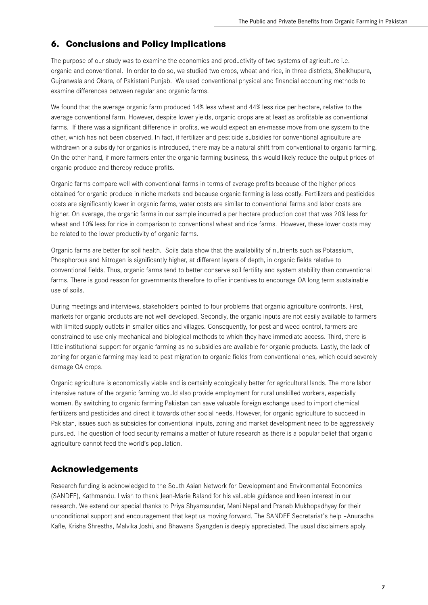## **6. Conclusions and Policy Implications**

The purpose of our study was to examine the economics and productivity of two systems of agriculture i.e. organic and conventional. In order to do so, we studied two crops, wheat and rice, in three districts, Sheikhupura, Gujranwala and Okara, of Pakistani Punjab. We used conventional physical and financial accounting methods to examine differences between regular and organic farms.

We found that the average organic farm produced 14% less wheat and 44% less rice per hectare, relative to the average conventional farm. However, despite lower yields, organic crops are at least as profitable as conventional farms. If there was a significant difference in profits, we would expect an en-masse move from one system to the other, which has not been observed. In fact, if fertilizer and pesticide subsidies for conventional agriculture are withdrawn or a subsidy for organics is introduced, there may be a natural shift from conventional to organic farming. On the other hand, if more farmers enter the organic farming business, this would likely reduce the output prices of organic produce and thereby reduce profits.

Organic farms compare well with conventional farms in terms of average profits because of the higher prices obtained for organic produce in niche markets and because organic farming is less costly. Fertilizers and pesticides costs are significantly lower in organic farms, water costs are similar to conventional farms and labor costs are higher. On average, the organic farms in our sample incurred a per hectare production cost that was 20% less for wheat and 10% less for rice in comparison to conventional wheat and rice farms. However, these lower costs may be related to the lower productivity of organic farms.

Organic farms are better for soil health. Soils data show that the availability of nutrients such as Potassium, Phosphorous and Nitrogen is significantly higher, at different layers of depth, in organic fields relative to conventional fields. Thus, organic farms tend to better conserve soil fertility and system stability than conventional farms. There is good reason for governments therefore to offer incentives to encourage OA long term sustainable use of soils.

During meetings and interviews, stakeholders pointed to four problems that organic agriculture confronts. First, markets for organic products are not well developed. Secondly, the organic inputs are not easily available to farmers with limited supply outlets in smaller cities and villages. Consequently, for pest and weed control, farmers are constrained to use only mechanical and biological methods to which they have immediate access. Third, there is little institutional support for organic farming as no subsidies are available for organic products. Lastly, the lack of zoning for organic farming may lead to pest migration to organic fields from conventional ones, which could severely damage OA crops.

Organic agriculture is economically viable and is certainly ecologically better for agricultural lands. The more labor intensive nature of the organic farming would also provide employment for rural unskilled workers, especially women. By switching to organic farming Pakistan can save valuable foreign exchange used to import chemical fertilizers and pesticides and direct it towards other social needs. However, for organic agriculture to succeed in Pakistan, issues such as subsidies for conventional inputs, zoning and market development need to be aggressively pursued. The question of food security remains a matter of future research as there is a popular belief that organic agriculture cannot feed the world's population.

## **Acknowledgements**

Research funding is acknowledged to the South Asian Network for Development and Environmental Economics (SANDEE), Kathmandu. I wish to thank Jean-Marie Baland for his valuable guidance and keen interest in our research. We extend our special thanks to Priya Shyamsundar, Mani Nepal and Pranab Mukhopadhyay for their unconditional support and encouragement that kept us moving forward. The SANDEE Secretariat's help –Anuradha Kafle, Krisha Shrestha, Malvika Joshi, and Bhawana Syangden is deeply appreciated. The usual disclaimers apply.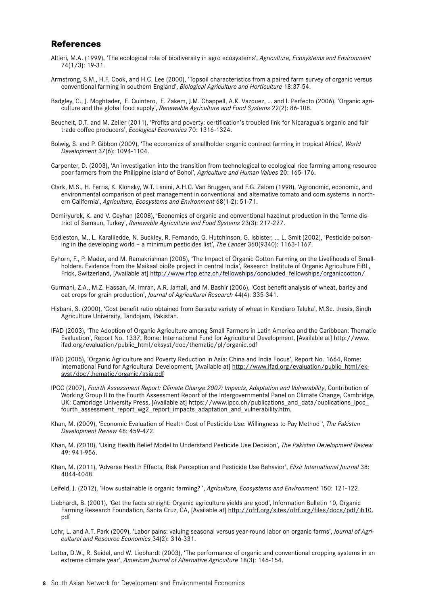### **References**

- Altieri, M.A. (1999), 'The ecological role of biodiversity in agro ecosystems', *Agriculture, Ecosystems and Environment*  74(1/3): 19-31.
- Armstrong, S.M., H.F. Cook, and H.C. Lee (2000), 'Topsoil characteristics from a paired farm survey of organic versus conventional farming in southern England', *Biological Agriculture and Horticulture* 18:37-54.
- Badgley, C., J. Moghtader, E. Quintero, E. Zakem, J.M. Chappell, A.K. Vazquez, … and I. Perfecto (2006), 'Organic agriculture and the global food supply', *Renewable Agriculture and Food Systems* 22(2): 86-108.
- Beuchelt, D.T. and M. Zeller (2011), 'Profits and poverty: certification's troubled link for Nicaragua's organic and fair trade coffee producers', *Ecological Economics* 70: 1316-1324.
- Bolwig, S. and P. Gibbon (2009), 'The economics of smallholder organic contract farming in tropical Africa', *World Development* 37(6): 1094-1104.
- Carpenter, D. (2003), 'An investigation into the transition from technological to ecological rice farming among resource poor farmers from the Philippine island of Bohol', *Agriculture and Human Values* 20: 165-176.
- Clark, M.S., H. Ferris, K. Klonsky, W.T. Lanini, A.H.C. Van Bruggen, and F.G. Zalom (1998), 'Agronomic, economic, and environmental comparison of pest management in conventional and alternative tomato and corn systems in northern California', *Agriculture, Ecosystems and Environment* 68(1-2): 51-71.
- Demiryurek, K. and V. Ceyhan (2008), 'Economics of organic and conventional hazelnut production in the Terme district of Samsun, Turkey', *Renewable Agriculture and Food Systems* 23(3): 217-227.
- Eddleston, M., L. Karalliedde, N. Buckley, R. Fernando, G. Hutchinson, G. Isbister, ... L. Smit (2002), 'Pesticide poisoning in the developing world – a minimum pesticides list', *The Lancet* 360(9340): 1163-1167.
- Eyhorn, F., P. Mader, and M. Ramakrishnan (2005), 'The Impact of Organic Cotton Farming on the Livelihoods of Smallholders. Evidence from the Maikaal bioRe project in central India', Research Institute of Organic Agriculture FiBL, Frick, Switzerland, [Available at] http://www.rfpp.ethz.ch/fellowships/concluded\_fellowships/organiccotton/
- Gurmani, Z.A., M.Z. Hassan, M. Imran, A.R. Jamali, and M. Bashir (2006), 'Cost benefit analysis of wheat, barley and oat crops for grain production', *Journal of Agricultural Research* 44(4): 335-341.
- Hisbani, S. (2000), 'Cost benefit ratio obtained from Sarsabz variety of wheat in Kandiaro Taluka', M.Sc. thesis, Sindh Agriculture University, Tandojam, Pakistan.
- IFAD (2003), 'The Adoption of Organic Agriculture among Small Farmers in Latin America and the Caribbean: Thematic Evaluation', Report No. 1337, Rome: International Fund for Agricultural Development, [Available at] http://www. ifad.org/evaluation/public\_html/eksyst/doc/thematic/pl/organic.pdf
- IFAD (2005), 'Organic Agriculture and Poverty Reduction in Asia: China and India Focus', Report No. 1664, Rome: International Fund for Agricultural Development, [Available at] http://www.ifad.org/evaluation/public\_html/eksyst/doc/thematic/organic/asia.pdf
- IPCC (2007), *Fourth Assessment Report: Climate Change 2007: Impacts, Adaptation and Vulnerability*, Contribution of Working Group II to the Fourth Assessment Report of the Intergovernmental Panel on Climate Change, Cambridge, UK: Cambridge University Press, [Available at] https://www.ipcc.ch/publications\_and\_data/publications\_ipcc\_ fourth\_assessment\_report\_wg2\_report\_impacts\_adaptation\_and\_vulnerability.htm.
- Khan, M. (2009), 'Economic Evaluation of Health Cost of Pesticide Use: Willingness to Pay Method ', *The Pakistan Development Review* 48: 459-472.
- Khan, M. (2010), 'Using Health Belief Model to Understand Pesticide Use Decision', *The Pakistan Development Review* 49: 941-956.
- Khan, M. (2011), 'Adverse Health Effects, Risk Perception and Pesticide Use Behavior', *Elixir International Journal* 38: 4044-4048.
- Leifeld, J. (2012), 'How sustainable is organic farming? ', *Agriculture, Ecosystems and Environment* 150: 121-122.
- Liebhardt, B. (2001), 'Get the facts straight: Organic agriculture yields are good', Information Bulletin 10, Organic Farming Research Foundation, Santa Cruz, CA, [Available at] http://ofrf.org/sites/ofrf.org/files/docs/pdf/ib10. pdf
- Lohr, L. and A.T. Park (2009), 'Labor pains: valuing seasonal versus year-round labor on organic farms', *Journal of Agricultural and Resource Economics* 34(2): 316-331.
- Letter, D.W., R. Seidel, and W. Liebhardt (2003), 'The performance of organic and conventional cropping systems in an extreme climate year', *American Journal of Alternative Agriculture* 18(3): 146-154.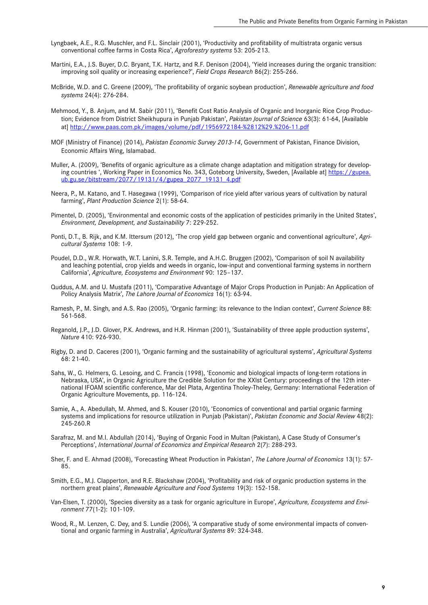- Lyngbaek, A.E., R.G. Muschler, and F.L. Sinclair (2001), 'Productivity and profitability of multistrata organic versus conventional coffee farms in Costa Rica', *Agroforestry systems* 53: 205-213.
- Martini, E.A., J.S. Buyer, D.C. Bryant, T.K. Hartz, and R.F. Denison (2004), 'Yield increases during the organic transition: improving soil quality or increasing experience?', *Field Crops Research* 86(2): 255-266.
- McBride, W.D. and C. Greene (2009), 'The profitability of organic soybean production', *Renewable agriculture and food systems* 24(4): 276-284.
- Mehmood, Y., B. Anjum, and M. Sabir (2011), 'Benefit Cost Ratio Analysis of Organic and Inorganic Rice Crop Production; Evidence from District Sheikhupura in Punjab Pakistan', *Pakistan Journal of Science* 63(3): 61-64, [Available at] http://www.paas.com.pk/images/volume/pdf/1956972184-%2812%29.%206-11.pdf
- MOF (Ministry of Finance) (2014), *Pakistan Economic Survey 2013-14*, Government of Pakistan, Finance Division, Economic Affairs Wing, Islamabad.
- Muller, A. (2009), 'Benefits of organic agriculture as a climate change adaptation and mitigation strategy for developing countries ', Working Paper in Economics No. 343, Goteborg University, Sweden, [Available at] https://gupea. ub.gu.se/bitstream/2077/19131/4/gupea\_2077\_19131\_4.pdf
- Neera, P., M. Katano, and T. Hasegawa (1999), 'Comparison of rice yield after various years of cultivation by natural farming', *Plant Production Science* 2(1): 58-64.
- Pimentel, D. (2005), 'Environmental and economic costs of the application of pesticides primarily in the United States', *Environment, Development, and Sustainability* 7: 229-252.
- Ponti, D.T., B. Rijk, and K.M. Ittersum (2012), 'The crop yield gap between organic and conventional agriculture', *Agricultural Systems* 108: 1-9.
- Poudel, D.D., W.R. Horwath, W.T. Lanini, S.R. Temple, and A.H.C. Bruggen (2002), 'Comparison of soil N availability and leaching potential, crop yields and weeds in organic, low-input and conventional farming systems in northern California', *Agriculture, Ecosystems and Environment* 90: 125–137.
- Quddus, A.M. and U. Mustafa (2011), 'Comparative Advantage of Major Crops Production in Punjab: An Application of Policy Analysis Matrix', *The Lahore Journal of Economics* 16(1): 63-94.
- Ramesh, P., M. Singh, and A.S. Rao (2005), 'Organic farming: its relevance to the Indian context', *Current Science* 88: 561-568.
- Reganold, J.P., J.D. Glover, P.K. Andrews, and H.R. Hinman (2001), 'Sustainability of three apple production systems', *Nature* 410: 926-930.
- Rigby, D. and D. Caceres (2001), 'Organic farming and the sustainability of agricultural systems', *Agricultural Systems* 68: 21-40.
- Sahs, W., G. Helmers, G. Lesoing, and C. Francis (1998), 'Economic and biological impacts of long-term rotations in Nebraska, USA', in Organic Agriculture the Credible Solution for the XXIst Century: proceedings of the 12th international IFOAM scientific conference, Mar del Plata, Argentina Tholey-Theley, Germany: International Federation of Organic Agriculture Movements, pp. 116-124.
- Samie, A., A. Abedullah, M. Ahmed, and S. Kouser (2010), 'Economics of conventional and partial organic farming systems and implications for resource utilization in Punjab (Pakistan)', *Pakistan Economic and Social Review* 48(2): 245-260.R
- Sarafraz, M. and M.I. Abdullah (2014), 'Buying of Organic Food in Multan (Pakistan), A Case Study of Consumer's Perceptions', *International Journal of Economics and Empirical Research* 2(7): 288-293.
- Sher, F. and E. Ahmad (2008), 'Forecasting Wheat Production in Pakistan', *The Lahore Journal of Economics* 13(1): 57- 85.
- Smith, E.G., M.J. Clapperton, and R.E. Blackshaw (2004), 'Profitability and risk of organic production systems in the northern great plains', *Renewable Agriculture and Food Systems* 19(3): 152-158.
- Van-Elsen, T. (2000), 'Species diversity as a task for organic agriculture in Europe', *Agriculture, Ecosystems and Environment* 77(1-2): 101-109.
- Wood, R., M. Lenzen, C. Dey, and S. Lundie (2006), 'A comparative study of some environmental impacts of conventional and organic farming in Australia', *Agricultural Systems* 89: 324-348.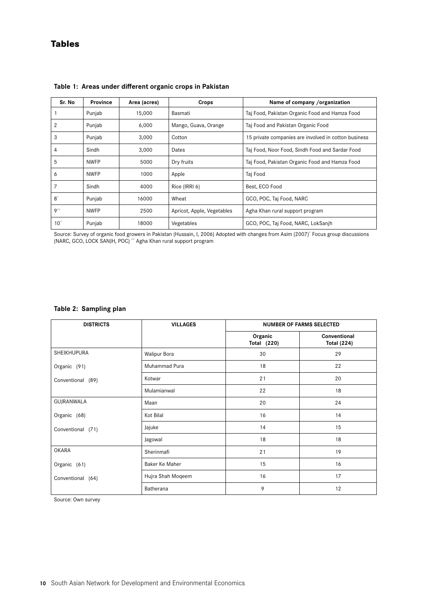## **Tables**

| Sr. No       | <b>Province</b> | Area (acres) | Crops                                                      | Name of company /organization                        |
|--------------|-----------------|--------------|------------------------------------------------------------|------------------------------------------------------|
|              | Punjab          | 15,000       | Basmati                                                    | Taj Food, Pakistan Organic Food and Hamza Food       |
| 2            | Punjab          | 6,000        | Mango, Guava, Orange<br>Taj Food and Pakistan Organic Food |                                                      |
| 3            | Punjab          | 3,000        | Cotton                                                     | 15 private companies are involved in cotton business |
| 4            | Sindh           | 3,000        | Dates                                                      | Taj Food, Noor Food, Sindh Food and Sardar Food      |
| 5            | <b>NWFP</b>     | 5000         | Dry fruits                                                 | Taj Food, Pakistan Organic Food and Hamza Food       |
| 6            | <b>NWFP</b>     | 1000         | Apple                                                      | Taj Food                                             |
| 7            | Sindh           | 4000         | Rice (IRRI 6)                                              | Best, ECO Food                                       |
| $8^*$        | Punjab          | 16000        | Wheat                                                      | GCO, POC, Taj Food, NARC                             |
| $9**$        | <b>NWFP</b>     | 2500         | Apricot, Apple, Vegetables                                 | Agha Khan rural support program                      |
| $10^{\circ}$ | Punjab          | 18000        | Vegetables                                                 | GCO, POC, Taj Food, NARC, LokSanjh                   |

**Table 1: Areas under different organic crops in Pakistan**

Source: Survey of organic food growers in Pakistan (Hussain, I, 2006) Adopted with changes from Asim (2007)\* Focus group discussions (NARC, GCO, LOCK SANJH, POC) \*\* Agha Khan rural support program

#### **Table 2: Sampling plan**

| <b>DISTRICTS</b>  | <b>VILLAGES</b>     | <b>NUMBER OF FARMS SELECTED</b> |                                    |
|-------------------|---------------------|---------------------------------|------------------------------------|
|                   |                     | Organic<br><b>Total (220)</b>   | Conventional<br><b>Total (224)</b> |
| SHEIKHUPURA       | <b>Walipur Bora</b> | 30                              | 29                                 |
| Organic (91)      | Muhammad Pura       | 18                              | 22                                 |
| Conventional (89) | Kotwar              | 21                              | 20                                 |
|                   | Mulamianwal         | 22                              | 18                                 |
| GUJRANWALA        | Maan                | 20                              | 24                                 |
| Organic (68)      | Kot Bilal           | 16                              | 14                                 |
| Conventional (71) | Jajuke              | 14                              | 15                                 |
|                   | Jagowal             | 18                              | 18                                 |
| <b>OKARA</b>      | Sherinmafi          | 21                              | 19                                 |
| Organic (61)      | Baker Ke Maher      | 15                              | 16                                 |
| Conventional (64) | Hujra Shah Moqeem   | 16                              | 17                                 |
|                   | Batherana           | 9                               | 12                                 |

Source: Own survey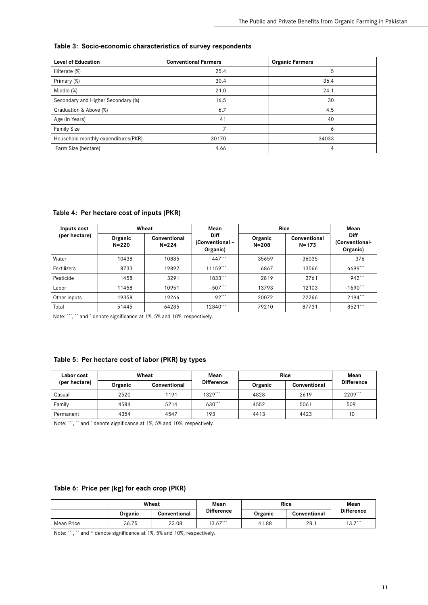#### **Table 3: Socio-economic characteristics of survey respondents**

| <b>Level of Education</b>           | <b>Conventional Farmers</b> | <b>Organic Farmers</b> |
|-------------------------------------|-----------------------------|------------------------|
| Illiterate (%)                      | 25.4                        | 5                      |
| Primary (%)                         | 30.4                        | 36.4                   |
| Middle (%)                          | 21.0                        | 24.1                   |
| Secondary and Higher Secondary (%)  | 16.5                        | 30                     |
| Graduation & Above (%)              | 6.7                         | 4.5                    |
| Age (in Years)                      | 41                          | 40                     |
| <b>Family Size</b>                  |                             | 6                      |
| Household monthly expenditures(PKR) | 30170                       | 34033                  |
| Farm Size (hectare)                 | 4.66                        | 4                      |

**Table 4: Per hectare cost of inputs (PKR)**

| Inputs cost   |                      | Wheat                     | Mean                                       | <b>Rice</b>          |                           | Mean                                      |
|---------------|----------------------|---------------------------|--------------------------------------------|----------------------|---------------------------|-------------------------------------------|
| (per hectare) | Organic<br>$N = 220$ | Conventional<br>$N = 224$ | <b>Diff</b><br>(Conventional -<br>Organic) | Organic<br>$N = 208$ | Conventional<br>$N = 173$ | <b>Diff</b><br>(Conventional-<br>Organic) |
| Water         | 10438                | 10885                     | 447***                                     | 35659                | 36035                     | 376                                       |
| Fertilizers   | 8733                 | 19892                     | 11159                                      | 6867                 | 13566                     | 6699                                      |
| Pesticide     | 1458                 | 3291                      | 1833***                                    | 2819                 | 3761                      | $942***$                                  |
| Labor         | 11458                | 10951                     | $-507$ ***                                 | 13793                | 12103                     | $-1690$ ***                               |
| Other inputs  | 19358                | 19266                     | $-92$ ***                                  | 20072                | 22266                     | $2194$ ***                                |
| Total         | 51445                | 64285                     | 12840***                                   | 79210                | 87731                     | 8521***                                   |

Note: \*\*\*, \*\* and \* denote significance at 1%, 5% and 10%, respectively.

#### **Table 5: Per hectare cost of labor (PKR) by types**

| Labor cost    | Wheat   |              | Mean              | <b>Rice</b> |              | Mean                   |
|---------------|---------|--------------|-------------------|-------------|--------------|------------------------|
| (per hectare) | Organic | Conventional | <b>Difference</b> | Organic     | Conventional | <b>Difference</b>      |
| Casual        | 2520    | 191          | $-1329***$        | 4828        | 2619         | $-2209$ <sup>***</sup> |
| Family        | 4584    | 5214         | 630***            | 4552        | 5061         | 509                    |
| Permanent     | 4354    | 4547         | 193               | 4413        | 4423         | 10                     |

Note: \*\*\*, \*\* and \* denote significance at 1%, 5% and 10%, respectively.

#### **Table 6: Price per (kg) for each crop (PKR)**

|            |         | Wheat        | Mean              | <b>Rice</b> |              | Mean              |
|------------|---------|--------------|-------------------|-------------|--------------|-------------------|
|            | Organic | Conventional | <b>Difference</b> | Organic     | Conventional | <b>Difference</b> |
| Mean Price | 36.75   | 23.08        | $13.67***$        | 41.88       | 28.1         | $13.7***$         |

Note: \*\*\*, \*\* and \* denote significance at 1%, 5% and 10%, respectively.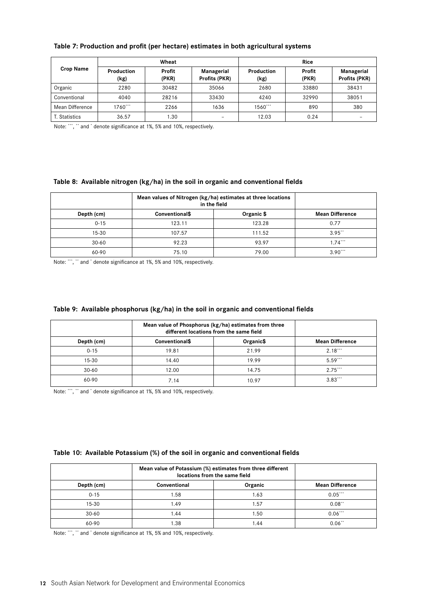|                  |                    | Wheat           |                             | Rice                      |                 |                             |
|------------------|--------------------|-----------------|-----------------------------|---------------------------|-----------------|-----------------------------|
| <b>Crop Name</b> | Production<br>(kg) | Profit<br>(PKR) | Managerial<br>Profits (PKR) | <b>Production</b><br>(kg) | Profit<br>(PKR) | Managerial<br>Profits (PKR) |
| Organic          | 2280               | 30482           | 35066                       | 2680                      | 33880           | 38431                       |
| Conventional     | 4040               | 28216           | 33430                       | 4240                      | 32990           | 38051                       |
| Mean Difference  | $1760***$          | 2266            | 1636                        | 1560***                   | 890             | 380                         |
| T. Statistics    | 36.57              | 1.30            | $\qquad \qquad$             | 12.03                     | 0.24            |                             |

#### **Table 7: Production and profit (per hectare) estimates in both agricultural systems**

Note: \*\*\*, \*\* and \* denote significance at 1%, 5% and 10%, respectively.

#### **Table 8: Available nitrogen (kg/ha) in the soil in organic and conventional fields**

|            | Mean values of Nitrogen (kg/ha) estimates at three locations<br>in the field |            |                        |
|------------|------------------------------------------------------------------------------|------------|------------------------|
| Depth (cm) | <b>Conventional\$</b>                                                        | Organic \$ | <b>Mean Difference</b> |
| $0 - 15$   | 123.11                                                                       | 123.28     | 0.77                   |
| $15 - 30$  | 107.57                                                                       | 111.52     | $3.95$ <sup>**</sup>   |
| $30 - 60$  | 92.23                                                                        | 93.97      | $1.74***$              |
| 60-90      | 75.10                                                                        | 79.00      | $3.90***$              |

Note: \*\*\*, \*\* and \* denote significance at 1%, 5% and 10%, respectively.

#### **Table 9: Available phosphorus (kg/ha) in the soil in organic and conventional fields**

|            | Mean value of Phosphorus (kg/ha) estimates from three<br>different locations from the same field |           |                        |
|------------|--------------------------------------------------------------------------------------------------|-----------|------------------------|
| Depth (cm) | <b>Conventional\$</b>                                                                            | Organic\$ | <b>Mean Difference</b> |
| $0 - 15$   | 19.81                                                                                            | 21.99     | $2.18***$              |
| $15 - 30$  | 14.40                                                                                            | 19.99     | $5.59***$              |
| $30 - 60$  | 12.00                                                                                            | 14.75     | 2.75                   |
| 60-90      | 7.14                                                                                             | 10.97     | $3.83***$              |

Note: \*\*\*, \*\* and \* denote significance at 1%, 5% and 10%, respectively.

#### **Table 10: Available Potassium (%) of the soil in organic and conventional fields**

|            | Mean value of Potassium (%) estimates from three different<br>locations from the same field |         |                        |
|------------|---------------------------------------------------------------------------------------------|---------|------------------------|
| Depth (cm) | Conventional                                                                                | Organic | <b>Mean Difference</b> |
| $0 - 15$   | 1.58                                                                                        | 1.63    | $0.05***$              |
| $15 - 30$  | 1.49                                                                                        | 1.57    | $0.08$ <sup>**</sup>   |
| $30 - 60$  | 1.44                                                                                        | .50     | $0.06***$              |
| 60-90      | .38                                                                                         | .44     | $0.06$ <sup>**</sup>   |

Note: \*\*\*, \*\* and \* denote significance at 1%, 5% and 10%, respectively.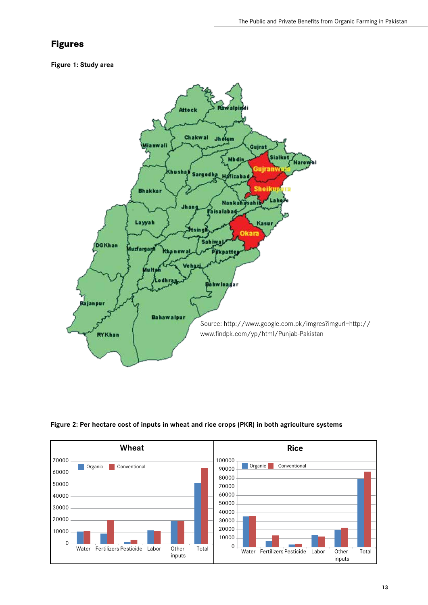## **Figures**

#### **Figure 1: Study area**





#### **Figure 2: Per hectare cost of inputs in wheat and rice crops (PKR) in both agriculture systems**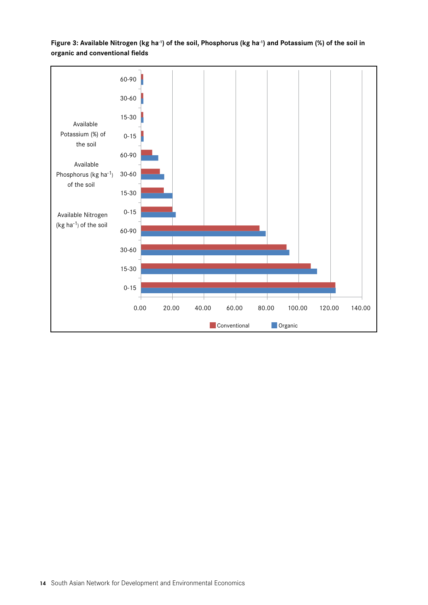

## **Figure 3: Available Nitrogen (kg ha-1) of the soil, Phosphorus (kg ha-1) and Potassium (%) of the soil in organic and conventional fields**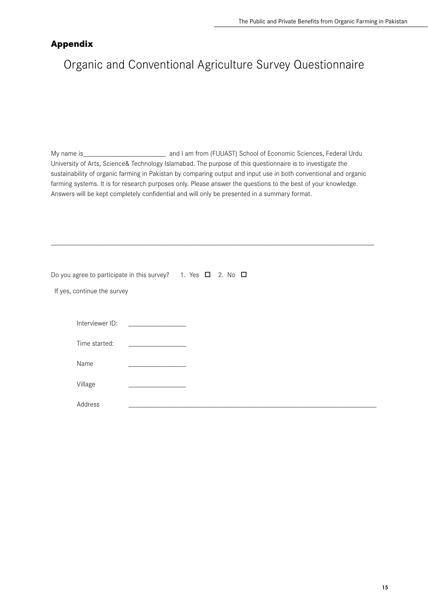## **Appendix**

## Organic and Conventional Agriculture Survey Questionnaire

My name is\_\_\_\_\_\_\_\_\_\_\_\_\_\_\_\_\_\_\_\_\_\_\_\_\_\_\_\_\_\_\_\_ and I am from (FUUAST) School of Economic Sciences, Federal Urdu University of Arts, Science& Technology Islamabad. The purpose of this questionnaire is to investigate the sustainability of organic farming in Pakistan by comparing output and input use in both conventional and organic farming systems. It is for research purposes only. Please answer the questions to the best of your knowledge. Answers will be kept completely confidential and will only be presented in a summary format.

\_\_\_\_\_\_\_\_\_\_\_\_\_\_\_\_\_\_\_\_\_\_\_\_\_\_\_\_\_\_\_\_\_\_\_\_\_\_\_\_\_\_\_\_\_\_\_\_\_\_\_\_\_\_\_\_\_\_\_\_\_\_\_\_\_\_\_\_\_\_\_\_\_\_\_\_\_\_\_\_\_\_\_\_\_\_\_\_\_\_

Do you agree to participate in this survey? 1. Yes  $\Box$  2. No  $\Box$ 

If yes, continue the survey

| Interviewer ID: | $\mathcal{L}(\mathcal{L}^{\mathcal{L}})$ and $\mathcal{L}^{\mathcal{L}}$ are the set of the set of the set of $\mathcal{L}^{\mathcal{L}}$                                                                                                                                                                                                                                                                                                                 |  |  |
|-----------------|-----------------------------------------------------------------------------------------------------------------------------------------------------------------------------------------------------------------------------------------------------------------------------------------------------------------------------------------------------------------------------------------------------------------------------------------------------------|--|--|
| Time started:   | $\mathcal{L}^{\mathcal{L}}(\mathcal{L}^{\mathcal{L}}(\mathcal{L}^{\mathcal{L}}(\mathcal{L}^{\mathcal{L}}(\mathcal{L}^{\mathcal{L}}(\mathcal{L}^{\mathcal{L}}(\mathcal{L}^{\mathcal{L}}(\mathcal{L}^{\mathcal{L}}(\mathcal{L}^{\mathcal{L}}(\mathcal{L}^{\mathcal{L}}(\mathcal{L}^{\mathcal{L}}(\mathcal{L}^{\mathcal{L}}(\mathcal{L}^{\mathcal{L}}(\mathcal{L}^{\mathcal{L}}(\mathcal{L}^{\mathcal{L}}(\mathcal{L}^{\mathcal{L}}(\mathcal{L}^{\mathcal{L$ |  |  |
| Name            |                                                                                                                                                                                                                                                                                                                                                                                                                                                           |  |  |
| Village         |                                                                                                                                                                                                                                                                                                                                                                                                                                                           |  |  |
| Address         |                                                                                                                                                                                                                                                                                                                                                                                                                                                           |  |  |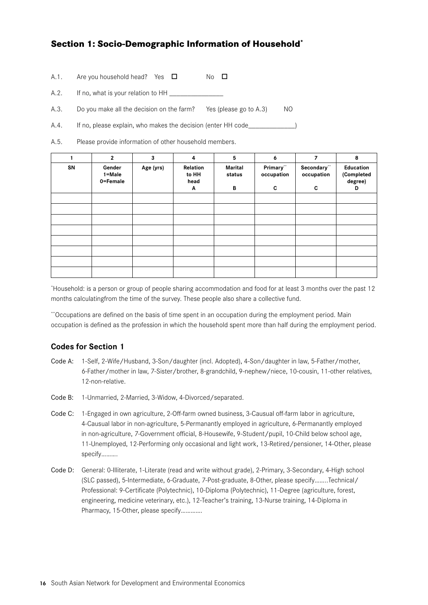## **Section 1: Socio-Demographic Information of Household\***

| A.1. | Are you household head? Yes $\square$ |  | $No$ $\Box$ |  |
|------|---------------------------------------|--|-------------|--|
|      |                                       |  |             |  |

A.2. If no, what is your relation to HH

A.3. Do you make all the decision on the farm? Yes (please go to A.3) NO

A.4. If no, please explain, who makes the decision (enter HH code

A.5. Please provide information of other household members.

|    | $\mathbf{2}$                     | 3         | 4                              | 5                             | 6                           |                               | 8                                       |
|----|----------------------------------|-----------|--------------------------------|-------------------------------|-----------------------------|-------------------------------|-----------------------------------------|
| SN | Gender<br>$1 = Male$<br>0=Female | Age (yrs) | Relation<br>to HH<br>head<br>Α | <b>Marital</b><br>status<br>В | Primary"<br>occupation<br>C | Secondary"<br>occupation<br>C | Education<br>(Completed<br>degree)<br>D |
|    |                                  |           |                                |                               |                             |                               |                                         |
|    |                                  |           |                                |                               |                             |                               |                                         |
|    |                                  |           |                                |                               |                             |                               |                                         |
|    |                                  |           |                                |                               |                             |                               |                                         |
|    |                                  |           |                                |                               |                             |                               |                                         |
|    |                                  |           |                                |                               |                             |                               |                                         |
|    |                                  |           |                                |                               |                             |                               |                                         |
|    |                                  |           |                                |                               |                             |                               |                                         |

\* Household: is a person or group of people sharing accommodation and food for at least 3 months over the past 12 months calculatingfrom the time of the survey. These people also share a collective fund.

\*\*Occupations are defined on the basis of time spent in an occupation during the employment period. Main occupation is defined as the profession in which the household spent more than half during the employment period.

## **Codes for Section 1**

- Code A: 1-Self, 2-Wife/Husband, 3-Son/daughter (incl. Adopted), 4-Son/daughter in law, 5-Father/mother, 6-Father/mother in law, 7-Sister/brother, 8-grandchild, 9-nephew/niece, 10-cousin, 11-other relatives, 12-non-relative.
- Code B: 1-Unmarried, 2-Married, 3-Widow, 4-Divorced/separated.
- Code C: 1-Engaged in own agriculture, 2-Off-farm owned business, 3-Causual off-farm labor in agriculture, 4-Causual labor in non-agriculture, 5-Permanantly employed in agriculture, 6-Permanantly employed in non-agriculture, 7-Government official, 8-Housewife, 9-Student/pupil, 10-Child below school age, 11-Unemployed, 12-Performing only occasional and light work, 13-Retired/pensioner, 14-Other, please specify……….
- Code D: General: 0-Illiterate, 1-Literate (read and write without grade), 2-Primary, 3-Secondary, 4-High school (SLC passed), 5-Intermediate, 6-Graduate, 7-Post-graduate, 8-Other, please specify……..Technical/ Professional: 9-Certificate (Polytechnic), 10-Diploma (Polytechnic), 11-Degree (agriculture, forest, engineering, medicine veterinary, etc.), 12-Teacher's training, 13-Nurse training, 14-Diploma in Pharmacy, 15-Other, please specify………….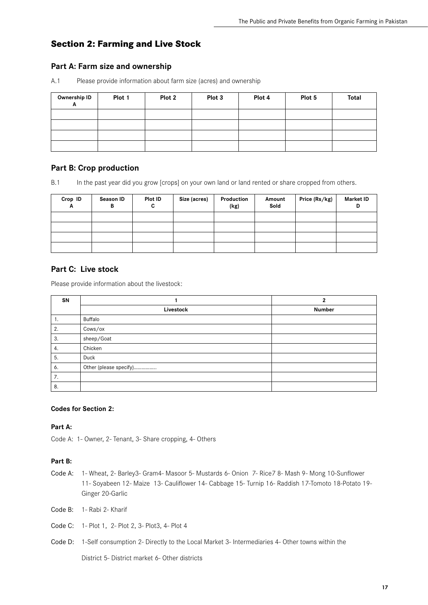## **Section 2: Farming and Live Stock**

## **Part A: Farm size and ownership**

A.1 Please provide information about farm size (acres) and ownership

| Ownership ID<br>A | Plot 1 | Plot 2 | Plot 3 | Plot 4 | Plot 5 | Total |
|-------------------|--------|--------|--------|--------|--------|-------|
|                   |        |        |        |        |        |       |
|                   |        |        |        |        |        |       |
|                   |        |        |        |        |        |       |
|                   |        |        |        |        |        |       |

## **Part B: Crop production**

B.1 In the past year did you grow [crops] on your own land or land rented or share cropped from others.

| Crop ID<br>A | Season ID<br>D | Plot ID<br>v | Size (acres) | Production<br>(kg) | Amount<br>Sold | Price (Rs/kg) | <b>Market ID</b><br>D |
|--------------|----------------|--------------|--------------|--------------------|----------------|---------------|-----------------------|
|              |                |              |              |                    |                |               |                       |
|              |                |              |              |                    |                |               |                       |
|              |                |              |              |                    |                |               |                       |
|              |                |              |              |                    |                |               |                       |

## **Part C: Live stock**

Please provide information about the livestock:

| SN |                        | $\overline{2}$ |
|----|------------------------|----------------|
|    | Livestock              | <b>Number</b>  |
| ι. | Buffalo                |                |
| 2. | Cows/ox                |                |
| 3. | sheep/Goat             |                |
| 4. | Chicken                |                |
| 5. | Duck                   |                |
| 6. | Other (please specify) |                |
| 7. |                        |                |
| 8. |                        |                |

#### **Codes for Section 2:**

**Part A:**

Code A: 1- Owner, 2- Tenant, 3- Share cropping, 4- Others

#### **Part B:**

- Code A: 1- Wheat, 2- Barley3- Gram4- Masoor 5- Mustards 6- Onion 7- Rice7 8- Mash 9- Mong 10-Sunflower 11- Soyabeen 12- Maize 13- Cauliflower 14- Cabbage 15- Turnip 16- Raddish 17-Tomoto 18-Potato 19- Ginger 20-Garlic
- Code B: 1- Rabi 2- Kharif
- Code C: 1- Plot 1, 2- Plot 2, 3- Plot3, 4- Plot 4
- Code D: 1-Self consumption 2- Directly to the Local Market 3- Intermediaries 4- Other towns within the

District 5- District market 6- Other districts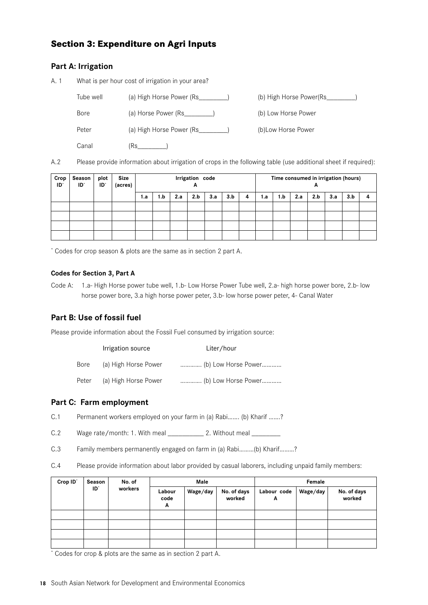## **Section 3: Expenditure on Agri Inputs**

## **Part A: Irrigation**

A. 1 What is per hour cost of irrigation in your area?

| Tube well   | (a) High Horse Power (Rs_    | (b) High Horse Power(Rs |
|-------------|------------------------------|-------------------------|
| <b>Bore</b> | (a) Horse Power (Rs______    | (b) Low Horse Power     |
| Peter       | (a) High Horse Power (Rs____ | (b) Low Horse Power     |
| Canal       | (Rs                          |                         |

A.2 Please provide information about irrigation of crops in the following table (use additional sheet if required):

| Crop<br>ID' | Season<br>ID' | plot<br>ID' | <b>Size</b><br>(acres) | Irrigation code |     |     |     |     |     | - | Time consumed in irrigation (hours) |     |     |     |     |     |  |
|-------------|---------------|-------------|------------------------|-----------------|-----|-----|-----|-----|-----|---|-------------------------------------|-----|-----|-----|-----|-----|--|
|             |               |             |                        | 1.a             | 1.b | 2.a | 2.b | 3.a | 3.b | 4 | 1.a                                 | 1.b | 2.a | 2.b | 3.a | 3.b |  |
|             |               |             |                        |                 |     |     |     |     |     |   |                                     |     |     |     |     |     |  |
|             |               |             |                        |                 |     |     |     |     |     |   |                                     |     |     |     |     |     |  |
|             |               |             |                        |                 |     |     |     |     |     |   |                                     |     |     |     |     |     |  |
|             |               |             |                        |                 |     |     |     |     |     |   |                                     |     |     |     |     |     |  |

\* Codes for crop season & plots are the same as in section 2 part A.

#### **Codes for Section 3, Part A**

Code A: 1.a- High Horse power tube well, 1.b- Low Horse Power Tube well, 2.a- high horse power bore, 2.b- low horse power bore, 3.a high horse power peter, 3.b- low horse power peter, 4- Canal Water

## **Part B: Use of fossil fuel**

Please provide information about the Fossil Fuel consumed by irrigation source:

|       | Irrigation source    | Liter/hour          |
|-------|----------------------|---------------------|
| Bore  | (a) High Horse Power | (b) Low Horse Power |
| Peter | (a) High Horse Power | (b) Low Horse Power |

## **Part C: Farm employment**

C.1 Permanent workers employed on your farm in (a) Rabi……. (b) Kharif …….?

C.2 Wage rate/month: 1. With meal 2. Without meal

- C.3 Family members permanently engaged on farm in (a) Rabi………(b) Kharif………?
- C.4 Please provide information about labor provided by casual laborers, including unpaid family members:

| Crop ID <sup>*</sup> | Season<br>$ID^*$ | No. of<br>workers | Male                |          |                       | Female           |          |                       |  |
|----------------------|------------------|-------------------|---------------------|----------|-----------------------|------------------|----------|-----------------------|--|
|                      |                  |                   | Labour<br>code<br>A | Wage/day | No. of days<br>worked | Labour code<br>A | Wage/day | No. of days<br>worked |  |
|                      |                  |                   |                     |          |                       |                  |          |                       |  |
|                      |                  |                   |                     |          |                       |                  |          |                       |  |
|                      |                  |                   |                     |          |                       |                  |          |                       |  |
|                      |                  |                   |                     |          |                       |                  |          |                       |  |

\* Codes for crop & plots are the same as in section 2 part A.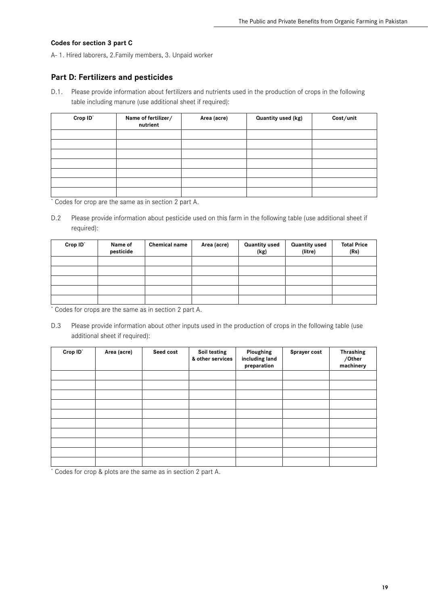#### **Codes for section 3 part C**

A- 1. Hired laborers, 2.Family members, 3. Unpaid worker

### **Part D: Fertilizers and pesticides**

D.1. Please provide information about fertilizers and nutrients used in the production of crops in the following table including manure (use additional sheet if required):

| Crop ID' | Name of fertilizer/<br>nutrient | Area (acre) | Quantity used (kg) | Cost/unit |
|----------|---------------------------------|-------------|--------------------|-----------|
|          |                                 |             |                    |           |
|          |                                 |             |                    |           |
|          |                                 |             |                    |           |
|          |                                 |             |                    |           |
|          |                                 |             |                    |           |
|          |                                 |             |                    |           |
|          |                                 |             |                    |           |

\* Codes for crop are the same as in section 2 part A.

D.2 Please provide information about pesticide used on this farm in the following table (use additional sheet if required):

| Crop ID <sup>*</sup> | Name of<br>pesticide | <b>Chemical name</b> | Area (acre) | <b>Quantity used</b><br>(kg) | <b>Quantity used</b><br>(litre) | <b>Total Price</b><br>(Rs) |
|----------------------|----------------------|----------------------|-------------|------------------------------|---------------------------------|----------------------------|
|                      |                      |                      |             |                              |                                 |                            |
|                      |                      |                      |             |                              |                                 |                            |
|                      |                      |                      |             |                              |                                 |                            |
|                      |                      |                      |             |                              |                                 |                            |
|                      |                      |                      |             |                              |                                 |                            |

\* Codes for crops are the same as in section 2 part A.

D.3 Please provide information about other inputs used in the production of crops in the following table (use additional sheet if required):

| Crop ID' | Area (acre) | Seed cost | Soil testing<br>& other services | Ploughing<br>including land<br>preparation | Sprayer cost | <b>Thrashing</b><br>/Other<br>machinery |
|----------|-------------|-----------|----------------------------------|--------------------------------------------|--------------|-----------------------------------------|
|          |             |           |                                  |                                            |              |                                         |
|          |             |           |                                  |                                            |              |                                         |
|          |             |           |                                  |                                            |              |                                         |
|          |             |           |                                  |                                            |              |                                         |
|          |             |           |                                  |                                            |              |                                         |
|          |             |           |                                  |                                            |              |                                         |
|          |             |           |                                  |                                            |              |                                         |
|          |             |           |                                  |                                            |              |                                         |
|          |             |           |                                  |                                            |              |                                         |
|          |             |           |                                  |                                            |              |                                         |

\* Codes for crop & plots are the same as in section 2 part A.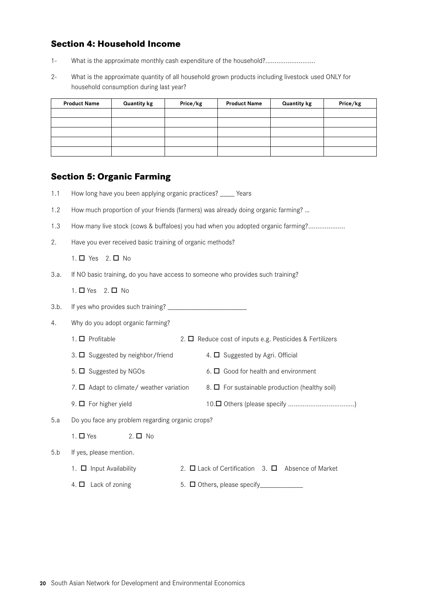## **Section 4: Household Income**

- 1- What is the approximate monthly cash expenditure of the household?............................
- 2- What is the approximate quantity of all household grown products including livestock used ONLY for household consumption during last year?

| <b>Product Name</b> | <b>Quantity kg</b> | Price/kg | <b>Product Name</b> | <b>Quantity kg</b> | Price/kg |
|---------------------|--------------------|----------|---------------------|--------------------|----------|
|                     |                    |          |                     |                    |          |
|                     |                    |          |                     |                    |          |
|                     |                    |          |                     |                    |          |
|                     |                    |          |                     |                    |          |
|                     |                    |          |                     |                    |          |

## **Section 5: Organic Farming**

- 1.1 How long have you been applying organic practices? \_\_\_\_ Years
- 1.2 How much proportion of your friends (farmers) was already doing organic farming? …
- 1.3 How many live stock (cows & buffaloes) you had when you adopted organic farming?....................
- 2. Have you ever received basic training of organic methods?

1.  $\Box$  Yes 2.  $\Box$  No

3.a. If NO basic training, do you have access to someone who provides such training?

1.  $\Box$  Yes 2.  $\Box$  No

3.b. If yes who provides such training? \_\_\_\_\_\_\_\_\_\_\_\_\_\_\_\_\_\_\_\_\_\_

4. Why do you adopt organic farming?

|     | 1. $\Box$ Profitable                             | 2. $\Box$ Reduce cost of inputs e.g. Pesticides & Fertilizers |  |  |
|-----|--------------------------------------------------|---------------------------------------------------------------|--|--|
|     | 3. $\Box$ Suggested by neighbor/friend           | 4. $\Box$ Suggested by Agri. Official                         |  |  |
|     | 5. $\Box$ Suggested by NGOs                      | 6. $\Box$ Good for health and environment                     |  |  |
|     | 7. $\Box$ Adapt to climate/ weather variation    | 8. $\Box$ For sustainable production (healthy soil)           |  |  |
|     | 9. $\Box$ For higher yield                       |                                                               |  |  |
| 5.a | Do you face any problem regarding organic crops? |                                                               |  |  |
|     | 1. $\Box$ Yes<br>$2. \Box$ No                    |                                                               |  |  |
| 5.b | If yes, please mention.                          |                                                               |  |  |
|     | 1. $\Box$ Input Availability                     | 2. $\Box$ Lack of Certification 3. $\Box$ Absence of Market   |  |  |
|     | 4. $\Box$ Lack of zoning                         | 5. $\Box$ Others, please specify                              |  |  |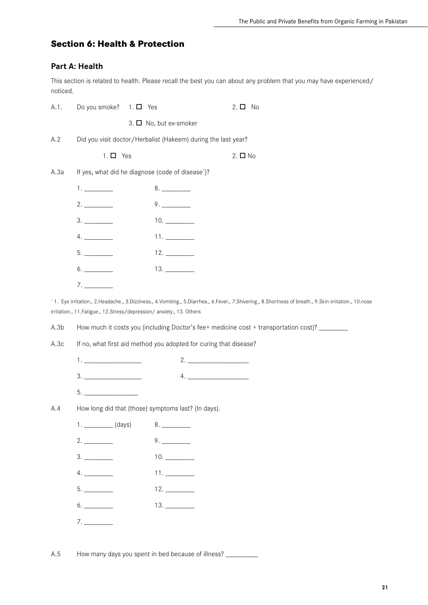## **Section 6: Health & Protection**

## **Part A: Health**

This section is related to health. Please recall the best you can about any problem that you may have experienced/ noticed.

| A.1.         | Do you smoke?                                    | $1. \Box$ Yes               | $2. \Box$ No                                                                                                                                                      |
|--------------|--------------------------------------------------|-----------------------------|-------------------------------------------------------------------------------------------------------------------------------------------------------------------|
|              |                                                  | 3. $\Box$ No, but ex-smoker |                                                                                                                                                                   |
| A.2          |                                                  |                             | Did you visit doctor/Herbalist (Hakeem) during the last year?                                                                                                     |
|              | $1. \Box$ Yes                                    |                             | $2. \Box$ No                                                                                                                                                      |
| A.3a         | If yes, what did he diagnose (code of disease*)? |                             |                                                                                                                                                                   |
|              |                                                  |                             |                                                                                                                                                                   |
|              |                                                  |                             | 9.                                                                                                                                                                |
|              |                                                  |                             |                                                                                                                                                                   |
|              | 4.                                               |                             |                                                                                                                                                                   |
|              |                                                  |                             |                                                                                                                                                                   |
|              | 6.                                               |                             |                                                                                                                                                                   |
|              | 7.                                               |                             |                                                                                                                                                                   |
| A.3b<br>A.3c |                                                  |                             | How much it costs you (including Doctor's fee+ medicine cost + transportation cost)? _______<br>If no, what first aid method you adopted for curing that disease? |
|              |                                                  |                             |                                                                                                                                                                   |
|              | $\begin{array}{c}\n3.\n\end{array}$              |                             | $4. \underline{\hspace{2cm}}$                                                                                                                                     |
|              | 5.                                               |                             |                                                                                                                                                                   |
| A.4          |                                                  |                             | How long did that (those) symptoms last? (In days).                                                                                                               |
|              |                                                  |                             |                                                                                                                                                                   |
|              | 2.                                               |                             | 9.                                                                                                                                                                |
|              |                                                  |                             | 10.                                                                                                                                                               |
|              | 4.                                               |                             | 11.                                                                                                                                                               |
|              |                                                  |                             | 12.                                                                                                                                                               |
|              |                                                  |                             |                                                                                                                                                                   |
|              | 7.                                               |                             |                                                                                                                                                                   |
|              |                                                  |                             |                                                                                                                                                                   |
| A.5          |                                                  |                             | How many days you spent in bed because of illness?                                                                                                                |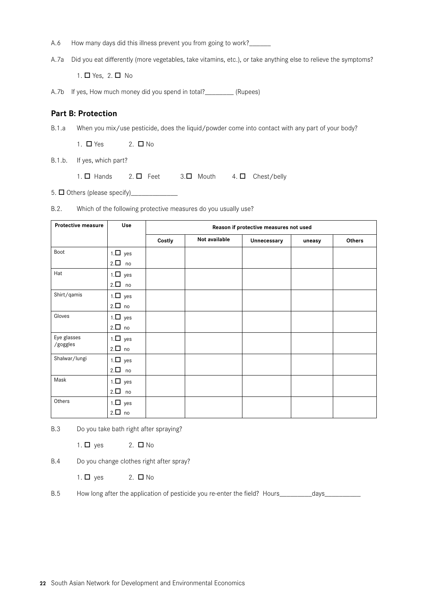- A.6 How many days did this illness prevent you from going to work?\_\_\_\_\_\_
- A.7a Did you eat differently (more vegetables, take vitamins, etc.), or take anything else to relieve the symptoms?

1.  $\Box$  Yes, 2.  $\Box$  No

A.7b If yes, How much money did you spend in total?\_\_\_\_\_\_\_\_\_ (Rupees)

#### **Part B: Protection**

B.1.a When you mix/use pesticide, does the liquid/powder come into contact with any part of your body?

1.  $\Box$  Yes 2.  $\Box$  No

B.1.b. If yes, which part?

1.  $\square$  Hands 2.  $\square$  Feet 3. $\square$  Mouth 4.  $\square$  Chest/belly

5.  $\Box$  Others (please specify)

B.2. Which of the following protective measures do you usually use?

| <b>Protective measure</b> | Use           | Reason if protective measures not used |               |             |        |        |
|---------------------------|---------------|----------------------------------------|---------------|-------------|--------|--------|
|                           |               | Costly                                 | Not available | Unnecessary | uneasy | Others |
| Boot                      | $1.\Box$ yes  |                                        |               |             |        |        |
|                           | $2.\Box$ no   |                                        |               |             |        |        |
| Hat                       | $1.\Box$ yes  |                                        |               |             |        |        |
|                           | $2.\Box$ no   |                                        |               |             |        |        |
| Shirt/qamis               | $1.\Box$ yes  |                                        |               |             |        |        |
|                           | $2.\Box$ no   |                                        |               |             |        |        |
| Gloves                    | $1.\Box$ yes  |                                        |               |             |        |        |
|                           | $2.\Box$ no   |                                        |               |             |        |        |
| Eye glasses               | $1.\Box$ yes  |                                        |               |             |        |        |
| /goggles                  | $2.\Box$ no   |                                        |               |             |        |        |
| Shalwar/lungi             | $1.\Box$ yes  |                                        |               |             |        |        |
|                           | $2.\Box$ no   |                                        |               |             |        |        |
| Mask                      | $1.\Box$ yes  |                                        |               |             |        |        |
|                           | $2.\Box$ no   |                                        |               |             |        |        |
| Others                    | $1. \Box$ yes |                                        |               |             |        |        |
|                           | $2.\Box$ no   |                                        |               |             |        |        |

B.3 Do you take bath right after spraying?

1.  $\Box$  yes 2.  $\Box$  No

B.4 Do you change clothes right after spray?

1.  $\Box$  yes 2.  $\Box$  No

B.5 How long after the application of pesticide you re-enter the field? Hours\_\_\_\_\_\_\_\_\_\_days\_\_\_\_\_\_\_\_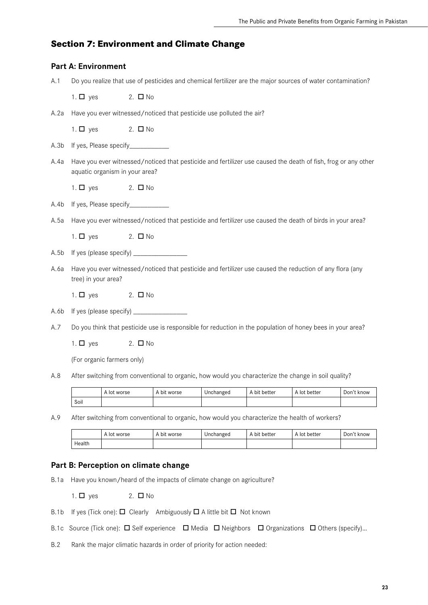## **Section 7: Environment and Climate Change**

### **Part A: Environment**

A.1 Do you realize that use of pesticides and chemical fertilizer are the major sources of water contamination?

1.  $\Box$  yes 2.  $\Box$  No

A.2a Have you ever witnessed/noticed that pesticide use polluted the air?

1.  $\Box$  yes 2.  $\Box$  No

- A.3b If yes, Please specify\_\_\_\_\_\_\_\_\_\_
- A.4a Have you ever witnessed/noticed that pesticide and fertilizer use caused the death of fish, frog or any other aquatic organism in your area?

1.  $\Box$  yes 2.  $\Box$  No

- A.4b If yes, Please specify\_\_\_\_\_\_\_\_\_\_\_\_
- A.5a Have you ever witnessed/noticed that pesticide and fertilizer use caused the death of birds in your area?

1.  $\Box$  yes 2.  $\Box$  No

- A.5b If yes (please specify)
- A.6a Have you ever witnessed/noticed that pesticide and fertilizer use caused the reduction of any flora (any tree) in your area?
	- 1.  $\Box$  yes 2.  $\Box$  No
- A.6b If yes (please specify) \_\_\_\_\_\_\_\_\_\_\_\_\_\_\_
- A.7 Do you think that pesticide use is responsible for reduction in the population of honey bees in your area?

1.  $\Box$  yes 2.  $\Box$  No

(For organic farmers only)

A.8 After switching from conventional to organic, how would you characterize the change in soil quality?

|      | A lot worse | A bit worse | Unchanged | bit better، ،<br>A | A lot better | Don't know |
|------|-------------|-------------|-----------|--------------------|--------------|------------|
| Soil |             |             |           |                    |              |            |

A.9 After switching from conventional to organic, how would you characterize the health of workers?

|        | . A lot worse | A bit worse | Unchanged | A bit better | A lot better | Don't know |
|--------|---------------|-------------|-----------|--------------|--------------|------------|
| Health |               |             |           |              |              |            |

## **Part B: Perception on climate change**

B.1a Have you known/heard of the impacts of climate change on agriculture?

1.  $\Box$  yes 2.  $\Box$  No

- B.1b If yes (Tick one):  $\Box$  Clearly Ambiguously  $\Box$  A little bit  $\Box$  Not known
- B.1c Source (Tick one):  $\Box$  Self experience  $\Box$  Media  $\Box$  Neighbors  $\Box$  Organizations  $\Box$  Others (specify)...
- B.2 Rank the major climatic hazards in order of priority for action needed: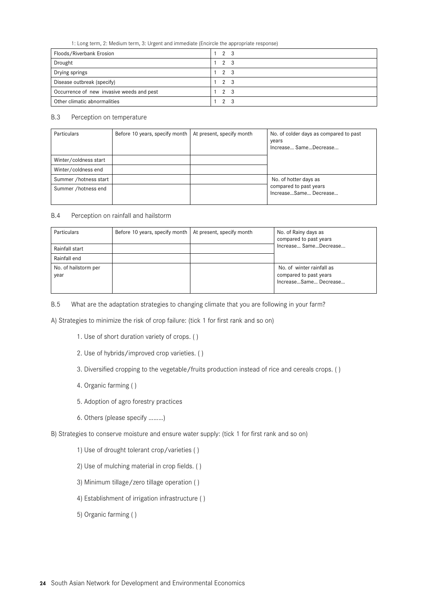1: Long term, 2: Medium term, 3: Urgent and immediate (Encircle the appropriate response)

| Floods/Riverbank Erosion                  | 2 3                 |
|-------------------------------------------|---------------------|
| Drought                                   | $1\quad2\quad3$     |
| Drying springs                            | 2 3                 |
| Disease outbreak (specify)                | $1 \quad 2 \quad 3$ |
| Occurrence of new invasive weeds and pest | 2 3                 |
| Other climatic abnormalities              | $\Omega$            |

#### B.3 Perception on temperature

| <b>Particulars</b>    | Before 10 years, specify month   At present, specify month | No. of colder days as compared to past<br>years<br>Increase SameDecrease |
|-----------------------|------------------------------------------------------------|--------------------------------------------------------------------------|
| Winter/coldness start |                                                            |                                                                          |
| Winter/coldness end   |                                                            |                                                                          |
| Summer /hotness start |                                                            | No. of hotter days as                                                    |
| Summer /hotness end   |                                                            | compared to past years<br>IncreaseSame Decrease                          |

B.4 Perception on rainfall and hailstorm

| Particulars                  | Before 10 years, specify month   At present, specify month | No. of Rainy days as<br>compared to past years                               |
|------------------------------|------------------------------------------------------------|------------------------------------------------------------------------------|
| Rainfall start               |                                                            | Increase Same Decrease                                                       |
| Rainfall end                 |                                                            |                                                                              |
| No. of hailstorm per<br>year |                                                            | No. of winter rainfall as<br>compared to past years<br>IncreaseSame Decrease |

B.5 What are the adaptation strategies to changing climate that you are following in your farm?

A) Strategies to minimize the risk of crop failure: (tick 1 for first rank and so on)

- 1. Use of short duration variety of crops. ( )
- 2. Use of hybrids/improved crop varieties. ( )
- 3. Diversified cropping to the vegetable/fruits production instead of rice and cereals crops. ( )
- 4. Organic farming ( )
- 5. Adoption of agro forestry practices
- 6. Others (please specify ………)

B) Strategies to conserve moisture and ensure water supply: (tick 1 for first rank and so on)

- 1) Use of drought tolerant crop/varieties ( )
- 2) Use of mulching material in crop fields. ( )
- 3) Minimum tillage/zero tillage operation ( )
- 4) Establishment of irrigation infrastructure ( )
- 5) Organic farming ( )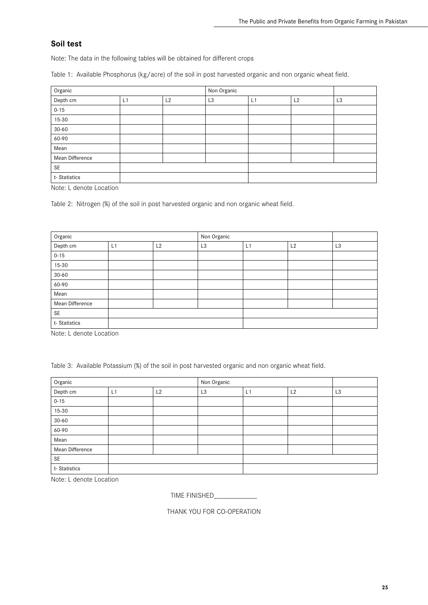## **Soil test**

Note: The data in the following tables will be obtained for different crops

Table 1: Available Phosphorus (kg/acre) of the soil in post harvested organic and non organic wheat field.

| Organic         |    |    | Non Organic    |    |                |                |
|-----------------|----|----|----------------|----|----------------|----------------|
| Depth cm        | L1 | L2 | L <sub>3</sub> | L1 | L <sub>2</sub> | L <sub>3</sub> |
| $0 - 15$        |    |    |                |    |                |                |
| $15 - 30$       |    |    |                |    |                |                |
| $30 - 60$       |    |    |                |    |                |                |
| 60-90           |    |    |                |    |                |                |
| Mean            |    |    |                |    |                |                |
| Mean Difference |    |    |                |    |                |                |
| <b>SE</b>       |    |    |                |    |                |                |
| t-Statistics    |    |    |                |    |                |                |

Note: L denote Location

Table 2: Nitrogen (%) of the soil in post harvested organic and non organic wheat field.

| Organic         |    |    | Non Organic    |    |    |                |
|-----------------|----|----|----------------|----|----|----------------|
| Depth cm        | L1 | L2 | L <sub>3</sub> | L1 | L2 | L <sub>3</sub> |
| $0 - 15$        |    |    |                |    |    |                |
| 15-30           |    |    |                |    |    |                |
| $30 - 60$       |    |    |                |    |    |                |
| 60-90           |    |    |                |    |    |                |
| Mean            |    |    |                |    |    |                |
| Mean Difference |    |    |                |    |    |                |
| <b>SE</b>       |    |    |                |    |    |                |
| t-Statistics    |    |    |                |    |    |                |

Note: L denote Location

Table 3: Available Potassium (%) of the soil in post harvested organic and non organic wheat field.

| Organic         |    |    | Non Organic    |    |    |                |
|-----------------|----|----|----------------|----|----|----------------|
| Depth cm        | L1 | L2 | L <sub>3</sub> | L1 | L2 | L <sub>3</sub> |
| $0 - 15$        |    |    |                |    |    |                |
| $15 - 30$       |    |    |                |    |    |                |
| $30 - 60$       |    |    |                |    |    |                |
| 60-90           |    |    |                |    |    |                |
| Mean            |    |    |                |    |    |                |
| Mean Difference |    |    |                |    |    |                |
| <b>SE</b>       |    |    |                |    |    |                |
| t-Statistics    |    |    |                |    |    |                |

Note: L denote Location

TIME FINISHED\_\_\_\_\_\_\_\_\_\_\_\_

THANK YOU FOR CO-OPERATION